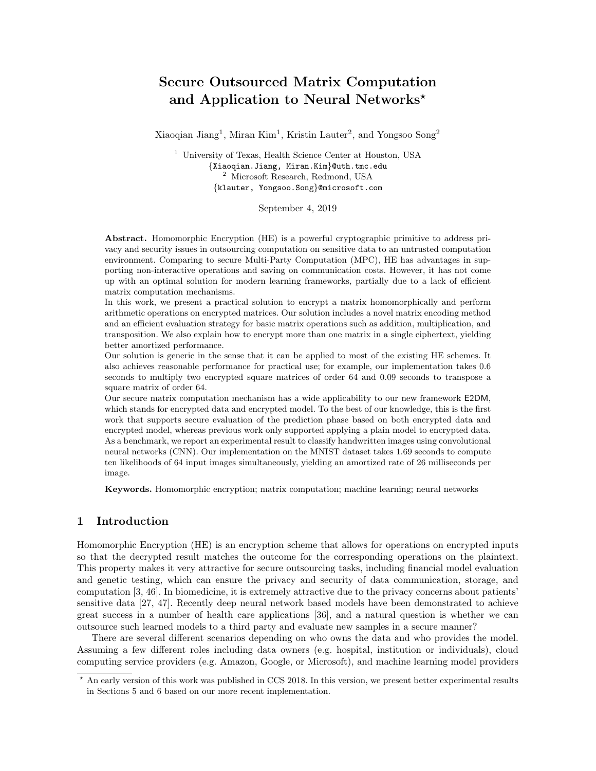# Secure Outsourced Matrix Computation and Application to Neural Networks\*

Xiaoqian Jiang<sup>1</sup>, Miran Kim<sup>1</sup>, Kristin Lauter<sup>2</sup>, and Yongsoo Song<sup>2</sup>

<sup>1</sup> University of Texas, Health Science Center at Houston, USA {Xiaoqian.Jiang, Miran.Kim}@uth.tmc.edu <sup>2</sup> Microsoft Research, Redmond, USA {klauter, Yongsoo.Song}@microsoft.com

September 4, 2019

Abstract. Homomorphic Encryption (HE) is a powerful cryptographic primitive to address privacy and security issues in outsourcing computation on sensitive data to an untrusted computation environment. Comparing to secure Multi-Party Computation (MPC), HE has advantages in supporting non-interactive operations and saving on communication costs. However, it has not come up with an optimal solution for modern learning frameworks, partially due to a lack of efficient matrix computation mechanisms.

In this work, we present a practical solution to encrypt a matrix homomorphically and perform arithmetic operations on encrypted matrices. Our solution includes a novel matrix encoding method and an efficient evaluation strategy for basic matrix operations such as addition, multiplication, and transposition. We also explain how to encrypt more than one matrix in a single ciphertext, yielding better amortized performance.

Our solution is generic in the sense that it can be applied to most of the existing HE schemes. It also achieves reasonable performance for practical use; for example, our implementation takes 0.6 seconds to multiply two encrypted square matrices of order 64 and 0.09 seconds to transpose a square matrix of order 64.

Our secure matrix computation mechanism has a wide applicability to our new framework E2DM, which stands for encrypted data and encrypted model. To the best of our knowledge, this is the first work that supports secure evaluation of the prediction phase based on both encrypted data and encrypted model, whereas previous work only supported applying a plain model to encrypted data. As a benchmark, we report an experimental result to classify handwritten images using convolutional neural networks (CNN). Our implementation on the MNIST dataset takes 1.69 seconds to compute ten likelihoods of 64 input images simultaneously, yielding an amortized rate of 26 milliseconds per image.

Keywords. Homomorphic encryption; matrix computation; machine learning; neural networks

# 1 Introduction

Homomorphic Encryption (HE) is an encryption scheme that allows for operations on encrypted inputs so that the decrypted result matches the outcome for the corresponding operations on the plaintext. This property makes it very attractive for secure outsourcing tasks, including financial model evaluation and genetic testing, which can ensure the privacy and security of data communication, storage, and computation [3, 46]. In biomedicine, it is extremely attractive due to the privacy concerns about patients' sensitive data [27, 47]. Recently deep neural network based models have been demonstrated to achieve great success in a number of health care applications [36], and a natural question is whether we can outsource such learned models to a third party and evaluate new samples in a secure manner?

There are several different scenarios depending on who owns the data and who provides the model. Assuming a few different roles including data owners (e.g. hospital, institution or individuals), cloud computing service providers (e.g. Amazon, Google, or Microsoft), and machine learning model providers

<sup>?</sup> An early version of this work was published in CCS 2018. In this version, we present better experimental results in Sections 5 and 6 based on our more recent implementation.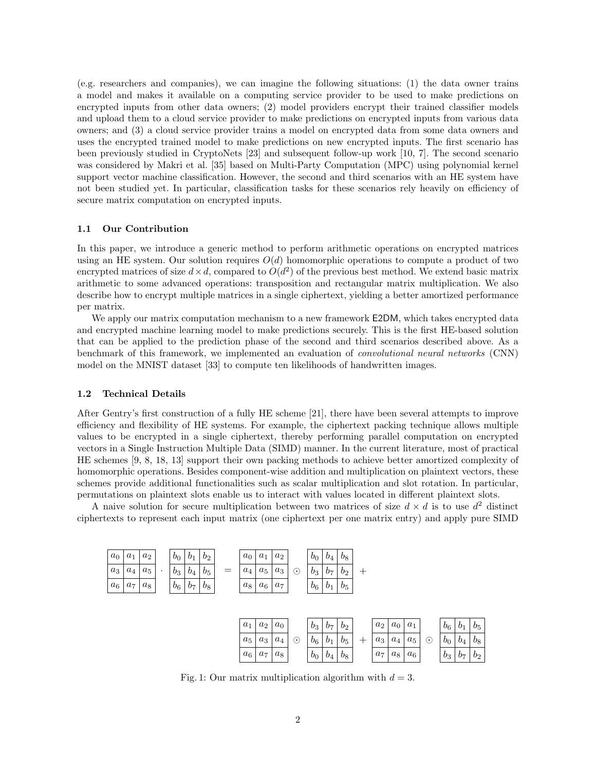(e.g. researchers and companies), we can imagine the following situations: (1) the data owner trains a model and makes it available on a computing service provider to be used to make predictions on encrypted inputs from other data owners; (2) model providers encrypt their trained classifier models and upload them to a cloud service provider to make predictions on encrypted inputs from various data owners; and (3) a cloud service provider trains a model on encrypted data from some data owners and uses the encrypted trained model to make predictions on new encrypted inputs. The first scenario has been previously studied in CryptoNets [23] and subsequent follow-up work [10, 7]. The second scenario was considered by Makri et al. [35] based on Multi-Party Computation (MPC) using polynomial kernel support vector machine classification. However, the second and third scenarios with an HE system have not been studied yet. In particular, classification tasks for these scenarios rely heavily on efficiency of secure matrix computation on encrypted inputs.

### 1.1 Our Contribution

In this paper, we introduce a generic method to perform arithmetic operations on encrypted matrices using an HE system. Our solution requires  $O(d)$  homomorphic operations to compute a product of two encrypted matrices of size  $d \times d$ , compared to  $O(d^2)$  of the previous best method. We extend basic matrix arithmetic to some advanced operations: transposition and rectangular matrix multiplication. We also describe how to encrypt multiple matrices in a single ciphertext, yielding a better amortized performance per matrix.

We apply our matrix computation mechanism to a new framework E2DM, which takes encrypted data and encrypted machine learning model to make predictions securely. This is the first HE-based solution that can be applied to the prediction phase of the second and third scenarios described above. As a benchmark of this framework, we implemented an evaluation of convolutional neural networks (CNN) model on the MNIST dataset [33] to compute ten likelihoods of handwritten images.

#### 1.2 Technical Details

After Gentry's first construction of a fully HE scheme [21], there have been several attempts to improve efficiency and flexibility of HE systems. For example, the ciphertext packing technique allows multiple values to be encrypted in a single ciphertext, thereby performing parallel computation on encrypted vectors in a Single Instruction Multiple Data (SIMD) manner. In the current literature, most of practical HE schemes [9, 8, 18, 13] support their own packing methods to achieve better amortized complexity of homomorphic operations. Besides component-wise addition and multiplication on plaintext vectors, these schemes provide additional functionalities such as scalar multiplication and slot rotation. In particular, permutations on plaintext slots enable us to interact with values located in different plaintext slots.

A naive solution for secure multiplication between two matrices of size  $d \times d$  is to use  $d^2$  distinct ciphertexts to represent each input matrix (one ciphertext per one matrix entry) and apply pure SIMD



Fig. 1: Our matrix multiplication algorithm with  $d = 3$ .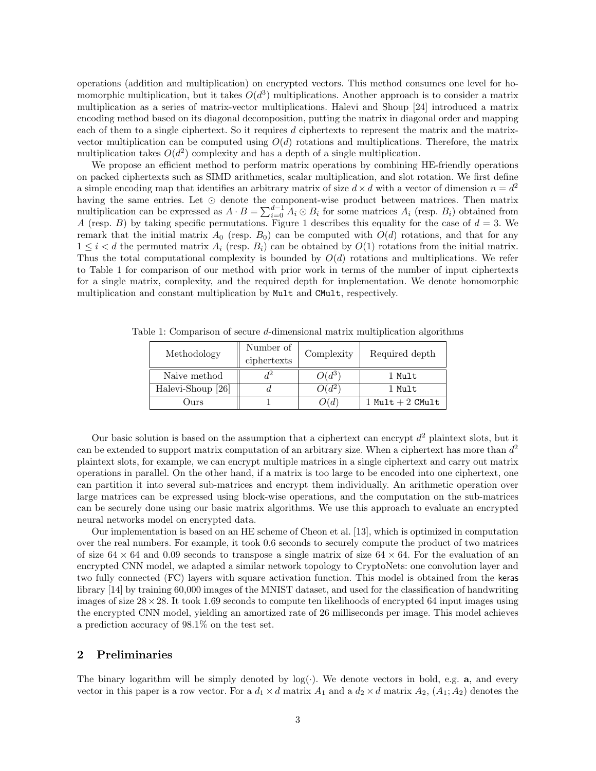operations (addition and multiplication) on encrypted vectors. This method consumes one level for homomorphic multiplication, but it takes  $O(d^3)$  multiplications. Another approach is to consider a matrix multiplication as a series of matrix-vector multiplications. Halevi and Shoup [24] introduced a matrix encoding method based on its diagonal decomposition, putting the matrix in diagonal order and mapping each of them to a single ciphertext. So it requires d ciphertexts to represent the matrix and the matrixvector multiplication can be computed using  $O(d)$  rotations and multiplications. Therefore, the matrix multiplication takes  $O(d^2)$  complexity and has a depth of a single multiplication.

We propose an efficient method to perform matrix operations by combining HE-friendly operations on packed ciphertexts such as SIMD arithmetics, scalar multiplication, and slot rotation. We first define a simple encoding map that identifies an arbitrary matrix of size  $d \times d$  with a vector of dimension  $n = d^2$ having the same entries. Let  $\odot$  denote the component-wise product between matrices. Then matrix multiplication can be expressed as  $A \cdot B = \sum_{i=0}^{d-1} A_i \odot B_i$  for some matrices  $A_i$  (resp.  $B_i$ ) obtained from A (resp. B) by taking specific permutations. Figure 1 describes this equality for the case of  $d = 3$ . We remark that the initial matrix  $A_0$  (resp.  $B_0$ ) can be computed with  $O(d)$  rotations, and that for any  $1 \leq i < d$  the permuted matrix  $A_i$  (resp.  $B_i$ ) can be obtained by  $O(1)$  rotations from the initial matrix. Thus the total computational complexity is bounded by  $O(d)$  rotations and multiplications. We refer to Table 1 for comparison of our method with prior work in terms of the number of input ciphertexts for a single matrix, complexity, and the required depth for implementation. We denote homomorphic multiplication and constant multiplication by Mult and CMult, respectively.

| Methodology       | Number of<br>ciphertexts | Complexity       | Required depth     |  |
|-------------------|--------------------------|------------------|--------------------|--|
| Naive method      |                          | $O(d^{3})$       | 1 Mult             |  |
| Halevi-Shoup [26] |                          | $Q(d^{2})$       | 1 Mult             |  |
| )urs              |                          | $\mathcal{Y}(d)$ | 1 Mult $+$ 2 CMult |  |

Table 1: Comparison of secure d-dimensional matrix multiplication algorithms

Our basic solution is based on the assumption that a ciphertext can encrypt  $d^2$  plaintext slots, but it can be extended to support matrix computation of an arbitrary size. When a ciphertext has more than  $d^2$ plaintext slots, for example, we can encrypt multiple matrices in a single ciphertext and carry out matrix operations in parallel. On the other hand, if a matrix is too large to be encoded into one ciphertext, one can partition it into several sub-matrices and encrypt them individually. An arithmetic operation over large matrices can be expressed using block-wise operations, and the computation on the sub-matrices can be securely done using our basic matrix algorithms. We use this approach to evaluate an encrypted neural networks model on encrypted data.

Our implementation is based on an HE scheme of Cheon et al. [13], which is optimized in computation over the real numbers. For example, it took 0.6 seconds to securely compute the product of two matrices of size  $64 \times 64$  and 0.09 seconds to transpose a single matrix of size  $64 \times 64$ . For the evaluation of an encrypted CNN model, we adapted a similar network topology to CryptoNets: one convolution layer and two fully connected (FC) layers with square activation function. This model is obtained from the keras library [14] by training 60,000 images of the MNIST dataset, and used for the classification of handwriting images of size  $28 \times 28$ . It took 1.69 seconds to compute ten likelihoods of encrypted 64 input images using the encrypted CNN model, yielding an amortized rate of 26 milliseconds per image. This model achieves a prediction accuracy of 98.1% on the test set.

# 2 Preliminaries

The binary logarithm will be simply denoted by  $log(\cdot)$ . We denote vectors in bold, e.g. a, and every vector in this paper is a row vector. For a  $d_1 \times d$  matrix  $A_1$  and a  $d_2 \times d$  matrix  $A_2$ ,  $(A_1; A_2)$  denotes the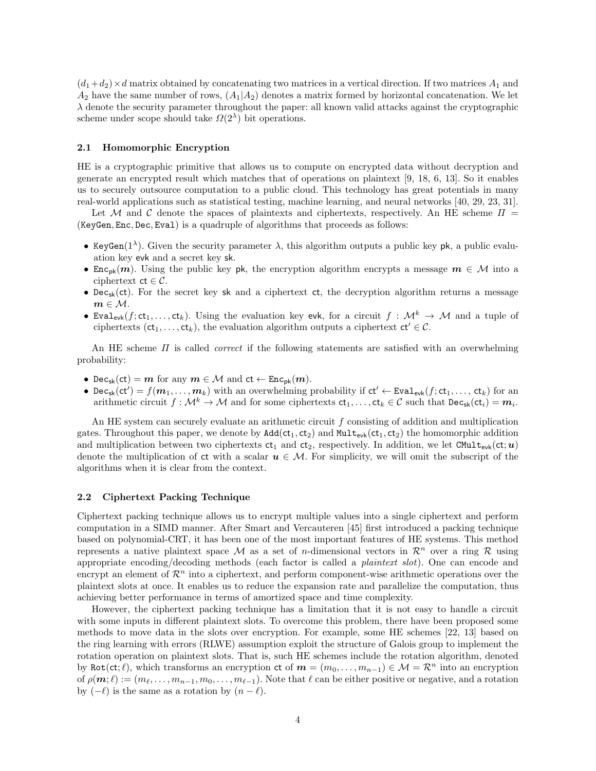$(d_1+d_2)\times d$  matrix obtained by concatenating two matrices in a vertical direction. If two matrices  $A_1$  and  $A_2$  have the same number of rows,  $(A_1|A_2)$  denotes a matrix formed by horizontal concatenation. We let  $\lambda$  denote the security parameter throughout the paper: all known valid attacks against the cryptographic scheme under scope should take  $\Omega(2^{\lambda})$  bit operations.

# 2.1 Homomorphic Encryption

HE is a cryptographic primitive that allows us to compute on encrypted data without decryption and generate an encrypted result which matches that of operations on plaintext [9, 18, 6, 13]. So it enables us to securely outsource computation to a public cloud. This technology has great potentials in many real-world applications such as statistical testing, machine learning, and neural networks [40, 29, 23, 31].

Let M and C denote the spaces of plaintexts and ciphertexts, respectively. An HE scheme  $\Pi$  = (KeyGen, Enc, Dec, Eval) is a quadruple of algorithms that proceeds as follows:

- KeyGen( $1^{\lambda}$ ). Given the security parameter  $\lambda$ , this algorithm outputs a public key pk, a public evaluation key evk and a secret key sk.
- Enc<sub>pk</sub> $(m)$ . Using the public key pk, the encryption algorithm encrypts a message  $m \in \mathcal{M}$  into a ciphertext  $ct \in C$ .
- Dec<sub>sk</sub>(ct). For the secret key sk and a ciphertext ct, the decryption algorithm returns a message  $m \in \mathcal{M}$ .
- Eval<sub>evk</sub> $(f; ct_1, \ldots, ct_k)$ . Using the evaluation key evk, for a circuit  $f : \mathcal{M}^k \to \mathcal{M}$  and a tuple of ciphertexts ( $ct_1, \ldots, ct_k$ ), the evaluation algorithm outputs a ciphertext  $ct' \in \mathcal{C}$ .

An HE scheme  $\Pi$  is called *correct* if the following statements are satisfied with an overwhelming probability:

- $\mathsf{Dec}_{\mathsf{sk}}(\mathsf{ct}) = \mathbf{m}$  for any  $\mathbf{m} \in \mathcal{M}$  and  $\mathsf{ct} \leftarrow \mathsf{Enc}_{\mathsf{pk}}(\mathbf{m})$ .
- Dec<sub>sk</sub>(ct') =  $f(m_1, \ldots, m_k)$  with an overwhelming probability if  $ct' \leftarrow \text{Eval}_{evk}(f; ct_1, \ldots, ct_k)$  for an arithmetic circuit  $f: \mathcal{M}^k \to \mathcal{M}$  and for some ciphertexts  $\mathsf{ct}_1, \ldots, \mathsf{ct}_k \in \mathcal{C}$  such that  $\mathsf{Dec}_{\mathsf{sk}}(\mathsf{ct}_i) = \mathbf{m}_i$ .

An HE system can securely evaluate an arithmetic circuit  $f$  consisting of addition and multiplication gates. Throughout this paper, we denote by  $Add(ct_1, ct_2)$  and  $Mult_{evk}(ct_1, ct_2)$  the homomorphic addition and multiplication between two ciphertexts  $ct_1$  and  $ct_2$ , respectively. In addition, we let CMult<sub>evk</sub>(ct;u) denote the multiplication of ct with a scalar  $u \in M$ . For simplicity, we will omit the subscript of the algorithms when it is clear from the context.

#### 2.2 Ciphertext Packing Technique

Ciphertext packing technique allows us to encrypt multiple values into a single ciphertext and perform computation in a SIMD manner. After Smart and Vercauteren [45] first introduced a packing technique based on polynomial-CRT, it has been one of the most important features of HE systems. This method represents a native plaintext space M as a set of *n*-dimensional vectors in  $\mathcal{R}^n$  over a ring R using appropriate encoding/decoding methods (each factor is called a *plaintext slot*). One can encode and encrypt an element of  $\mathcal{R}^n$  into a ciphertext, and perform component-wise arithmetic operations over the plaintext slots at once. It enables us to reduce the expansion rate and parallelize the computation, thus achieving better performance in terms of amortized space and time complexity.

However, the ciphertext packing technique has a limitation that it is not easy to handle a circuit with some inputs in different plaintext slots. To overcome this problem, there have been proposed some methods to move data in the slots over encryption. For example, some HE schemes [22, 13] based on the ring learning with errors (RLWE) assumption exploit the structure of Galois group to implement the rotation operation on plaintext slots. That is, such HE schemes include the rotation algorithm, denoted by Rot(ct;  $\ell$ ), which transforms an encryption ct of  $m = (m_0, \ldots, m_{n-1}) \in \mathcal{M} = \mathbb{R}^n$  into an encryption of  $\rho(\mathbf{m}; \ell) := (m_{\ell}, \ldots, m_{n-1}, m_0, \ldots, m_{\ell-1})$ . Note that  $\ell$  can be either positive or negative, and a rotation by  $(-\ell)$  is the same as a rotation by  $(n - \ell)$ .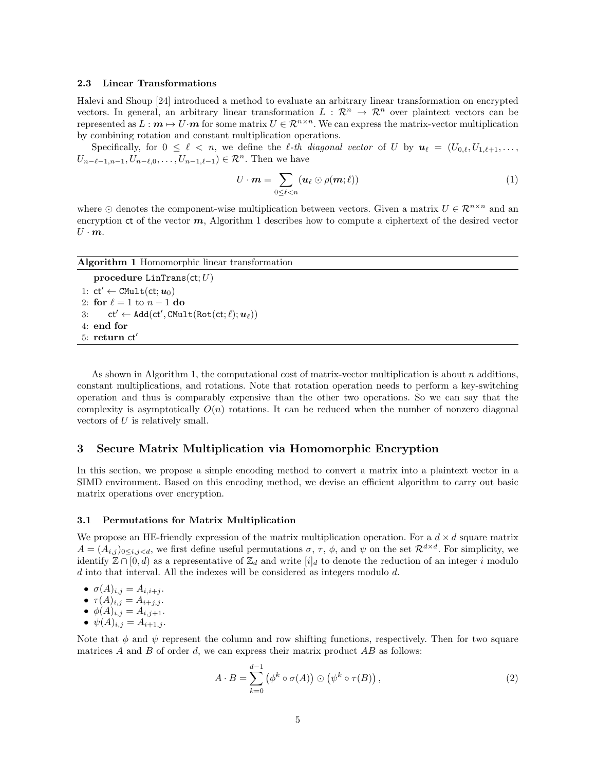#### 2.3 Linear Transformations

Halevi and Shoup [24] introduced a method to evaluate an arbitrary linear transformation on encrypted vectors. In general, an arbitrary linear transformation  $L : \mathbb{R}^n \to \mathbb{R}^n$  over plaintext vectors can be represented as  $L : \mathbf{m} \mapsto U \cdot \mathbf{m}$  for some matrix  $U \in \mathbb{R}^{n \times n}$ . We can express the matrix-vector multiplication by combining rotation and constant multiplication operations.

Specifically, for  $0 \leq \ell \leq n$ , we define the  $\ell$ -th diagonal vector of U by  $u_{\ell} = (U_{0,\ell}, U_{1,\ell+1}, \ldots,$  $U_{n-\ell-1,n-1}, U_{n-\ell,0}, \ldots, U_{n-1,\ell-1}) \in \mathcal{R}^n$ . Then we have

$$
U \cdot \boldsymbol{m} = \sum_{0 \leq \ell < n} (\boldsymbol{u}_{\ell} \odot \rho(\boldsymbol{m}; \ell)) \tag{1}
$$

where  $\odot$  denotes the component-wise multiplication between vectors. Given a matrix  $U \in \mathcal{R}^{n \times n}$  and an encryption ct of the vector  $m$ , Algorithm 1 describes how to compute a ciphertext of the desired vector  $U \cdot m$ .

| Algorithm 1 Homomorphic linear transformation                |  |  |  |  |  |
|--------------------------------------------------------------|--|--|--|--|--|
| procedure LinTrans(ct; $U$ )                                 |  |  |  |  |  |
| 1: $ct' \leftarrow \text{CMult}(\text{ct}; u_0)$             |  |  |  |  |  |
| 2: for $\ell = 1$ to $n - 1$ do                              |  |  |  |  |  |
| 3: $ct' \leftarrow Add(ct', CMulti(Rot(ct;\ell); u_{\ell}))$ |  |  |  |  |  |
| $4:$ end for                                                 |  |  |  |  |  |
| $5:$ return $ct'$                                            |  |  |  |  |  |
|                                                              |  |  |  |  |  |

As shown in Algorithm 1, the computational cost of matrix-vector multiplication is about  $n$  additions, constant multiplications, and rotations. Note that rotation operation needs to perform a key-switching operation and thus is comparably expensive than the other two operations. So we can say that the complexity is asymptotically  $O(n)$  rotations. It can be reduced when the number of nonzero diagonal vectors of U is relatively small.

# 3 Secure Matrix Multiplication via Homomorphic Encryption

In this section, we propose a simple encoding method to convert a matrix into a plaintext vector in a SIMD environment. Based on this encoding method, we devise an efficient algorithm to carry out basic matrix operations over encryption.

#### 3.1 Permutations for Matrix Multiplication

We propose an HE-friendly expression of the matrix multiplication operation. For a  $d \times d$  square matrix  $A = (A_{i,j})_{0 \leq i,j \leq d}$ , we first define useful permutations  $\sigma$ ,  $\tau$ ,  $\phi$ , and  $\psi$  on the set  $\mathcal{R}^{d \times d}$ . For simplicity, we identify  $\mathbb{Z} \cap [0, d)$  as a representative of  $\mathbb{Z}_d$  and write  $[i]_d$  to denote the reduction of an integer i modulo  $d$  into that interval. All the indexes will be considered as integers modulo  $d$ .

$$
\bullet \ \sigma(A)_{i,j} = A_{i,i+j}.
$$

$$
\bullet \ \tau(A)_{i,j} = A_{i+j,j}.
$$

- $\phi(A)_{i,j} = A_{i,j+1}.$
- $\psi(A)_{i,j} = A_{i+1,j}$ .

Note that  $\phi$  and  $\psi$  represent the column and row shifting functions, respectively. Then for two square matrices  $A$  and  $B$  of order  $d$ , we can express their matrix product  $AB$  as follows:

$$
A \cdot B = \sum_{k=0}^{d-1} (\phi^k \circ \sigma(A)) \odot (\psi^k \circ \tau(B)), \qquad (2)
$$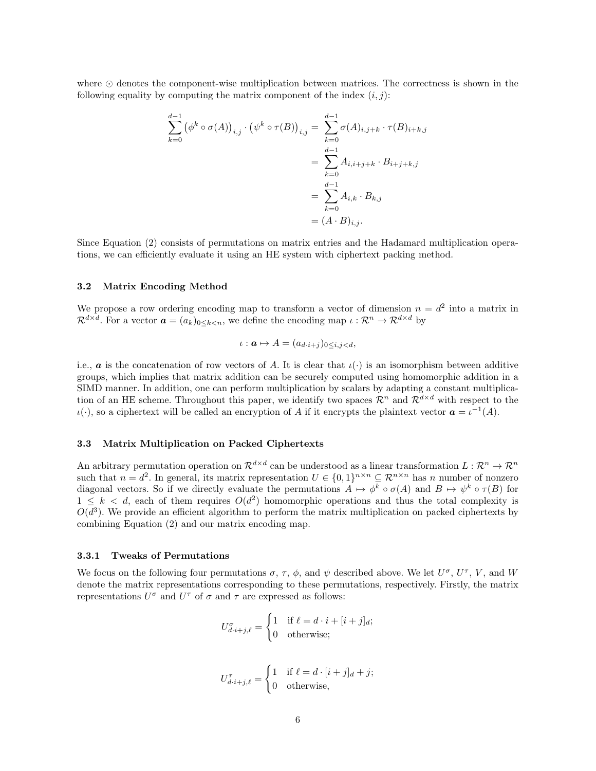where  $\odot$  denotes the component-wise multiplication between matrices. The correctness is shown in the following equality by computing the matrix component of the index  $(i, j)$ :

$$
\sum_{k=0}^{d-1} (\phi^k \circ \sigma(A))_{i,j} \cdot (\psi^k \circ \tau(B))_{i,j} = \sum_{k=0}^{d-1} \sigma(A)_{i,j+k} \cdot \tau(B)_{i+k,j}
$$
  
= 
$$
\sum_{k=0}^{d-1} A_{i,i+j+k} \cdot B_{i+j+k,j}
$$
  
= 
$$
\sum_{k=0}^{d-1} A_{i,k} \cdot B_{k,j}
$$
  
= 
$$
(A \cdot B)_{i,j}.
$$

Since Equation (2) consists of permutations on matrix entries and the Hadamard multiplication operations, we can efficiently evaluate it using an HE system with ciphertext packing method.

#### 3.2 Matrix Encoding Method

We propose a row ordering encoding map to transform a vector of dimension  $n = d^2$  into a matrix in  $\mathcal{R}^{d \times d}$ . For a vector  $\boldsymbol{a} = (a_k)_{0 \leq k < n}$ , we define the encoding map  $\iota : \mathcal{R}^n \to \mathcal{R}^{d \times d}$  by

$$
\iota: \mathbf{a} \mapsto A = (a_{d \cdot i + j})_{0 \leq i, j < d},
$$

i.e., **a** is the concatenation of row vectors of A. It is clear that  $\iota(\cdot)$  is an isomorphism between additive groups, which implies that matrix addition can be securely computed using homomorphic addition in a SIMD manner. In addition, one can perform multiplication by scalars by adapting a constant multiplication of an HE scheme. Throughout this paper, we identify two spaces  $\mathcal{R}^n$  and  $\mathcal{R}^{d \times d}$  with respect to the  $\iota(\cdot)$ , so a ciphertext will be called an encryption of A if it encrypts the plaintext vector  $\mathbf{a} = \iota^{-1}(A)$ .

# 3.3 Matrix Multiplication on Packed Ciphertexts

An arbitrary permutation operation on  $\mathcal{R}^{d \times d}$  can be understood as a linear transformation  $L: \mathcal{R}^n \to \mathcal{R}^n$ such that  $n = d^2$ . In general, its matrix representation  $U \in \{0,1\}^{n \times n} \subseteq \mathbb{R}^{n \times n}$  has n number of nonzero diagonal vectors. So if we directly evaluate the permutations  $A \mapsto \phi^k \circ \sigma(A)$  and  $B \mapsto \psi^k \circ \tau(B)$  for  $1 \leq k \leq d$ , each of them requires  $O(d^2)$  homomorphic operations and thus the total complexity is  $O(d^3)$ . We provide an efficient algorithm to perform the matrix multiplication on packed ciphertexts by combining Equation (2) and our matrix encoding map.

### 3.3.1 Tweaks of Permutations

We focus on the following four permutations  $\sigma$ ,  $\tau$ ,  $\phi$ , and  $\psi$  described above. We let  $U^{\sigma}$ ,  $U^{\tau}$ ,  $V$ , and  $W$ denote the matrix representations corresponding to these permutations, respectively. Firstly, the matrix representations  $U^{\sigma}$  and  $U^{\tau}$  of  $\sigma$  and  $\tau$  are expressed as follows:

$$
U_{d \cdot i+j,\ell}^{\sigma} = \begin{cases} 1 & \text{if } \ell = d \cdot i + [i+j]_d; \\ 0 & \text{otherwise}; \end{cases}
$$

$$
U_{d \cdot i+j,\ell}^{\tau} = \begin{cases} 1 & \text{if } \ell = d \cdot [i+j]_d + j; \\ 0 & \text{otherwise,} \end{cases}
$$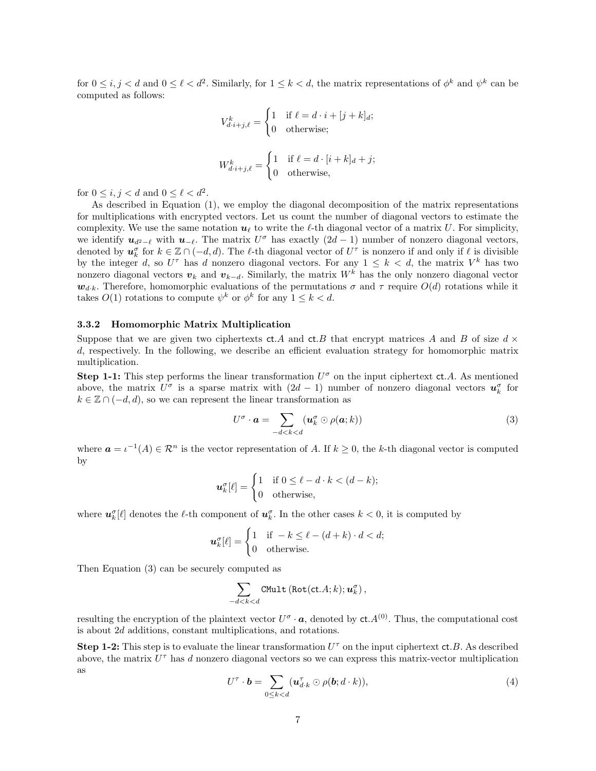for  $0 \le i, j < d$  and  $0 \le \ell < d^2$ . Similarly, for  $1 \le k < d$ , the matrix representations of  $\phi^k$  and  $\psi^k$  can be computed as follows:

$$
V_{d \cdot i+j,\ell}^k = \begin{cases} 1 & \text{if } \ell = d \cdot i + [j+k]_d; \\ 0 & \text{otherwise}; \end{cases}
$$
  

$$
W_{d \cdot i+j,\ell}^k = \begin{cases} 1 & \text{if } \ell = d \cdot [i+k]_d + j; \\ 0 & \text{otherwise}, \end{cases}
$$

for  $0 \leq i, j < d$  and  $0 \leq \ell < d^2$ .

As described in Equation (1), we employ the diagonal decomposition of the matrix representations for multiplications with encrypted vectors. Let us count the number of diagonal vectors to estimate the complexity. We use the same notation  $u_\ell$  to write the  $\ell$ -th diagonal vector of a matrix U. For simplicity, we identify  $u_{d^2-\ell}$  with  $u_{-\ell}$ . The matrix  $U^{\sigma}$  has exactly  $(2d-1)$  number of nonzero diagonal vectors, denoted by  $u_k^{\sigma}$  for  $k \in \mathbb{Z} \cap (-d, d)$ . The  $\ell$ -th diagonal vector of  $U^{\tau}$  is nonzero if and only if  $\ell$  is divisible by the integer d, so  $U^{\tau}$  has d nonzero diagonal vectors. For any  $1 \leq k \leq d$ , the matrix  $V^{k}$  has two nonzero diagonal vectors  $v_k$  and  $v_{k-d}$ . Similarly, the matrix W<sup>k</sup> has the only nonzero diagonal vector  $w_{d,k}$ . Therefore, homomorphic evaluations of the permutations  $\sigma$  and  $\tau$  require  $O(d)$  rotations while it takes  $O(1)$  rotations to compute  $\psi^k$  or  $\phi^k$  for any  $1 \leq k < d$ .

### 3.3.2 Homomorphic Matrix Multiplication

Suppose that we are given two ciphertexts ct.A and ct.B that encrypt matrices A and B of size  $d \times$ d, respectively. In the following, we describe an efficient evaluation strategy for homomorphic matrix multiplication.

**Step 1-1:** This step performs the linear transformation  $U^{\sigma}$  on the input ciphertext ct.A. As mentioned above, the matrix  $U^{\sigma}$  is a sparse matrix with  $(2d - 1)$  number of nonzero diagonal vectors  $u_k^{\sigma}$  for  $k \in \mathbb{Z} \cap (-d, d)$ , so we can represent the linear transformation as

$$
U^{\sigma} \cdot \mathbf{a} = \sum_{-d < k < d} (\mathbf{u}_k^{\sigma} \odot \rho(\mathbf{a}; k)) \tag{3}
$$

where  $a = \iota^{-1}(A) \in \mathbb{R}^n$  is the vector representation of A. If  $k \geq 0$ , the k-th diagonal vector is computed by

$$
\boldsymbol{u}_k^{\sigma}[\ell] = \begin{cases} 1 & \text{if } 0 \le \ell - d \cdot k < (d - k); \\ 0 & \text{otherwise,} \end{cases}
$$

where  $u_k^{\sigma}[\ell]$  denotes the  $\ell$ -th component of  $u_k^{\sigma}$ . In the other cases  $k < 0$ , it is computed by

$$
\boldsymbol{u}_k^{\sigma}[\ell] = \begin{cases} 1 & \text{if } -k \le \ell - (d+k) \cdot d < d; \\ 0 & \text{otherwise.} \end{cases}
$$

Then Equation (3) can be securely computed as

$$
\sum_{-d < k < d} \mathtt{CMult}\left(\mathtt{Rot}(\mathtt{ct}.A; k); \boldsymbol{u}_k^{\sigma}\right),
$$

resulting the encryption of the plaintext vector  $U^{\sigma} \cdot \mathbf{a}$ , denoted by  $ct.A^{(0)}$ . Thus, the computational cost is about 2d additions, constant multiplications, and rotations.

Step 1-2: This step is to evaluate the linear transformation  $U^{\tau}$  on the input ciphertext ct.B. As described above, the matrix  $U^{\tau}$  has d nonzero diagonal vectors so we can express this matrix-vector multiplication as

$$
U^{\tau} \cdot \mathbf{b} = \sum_{0 \le k < d} (\mathbf{u}_{d \cdot k}^{\tau} \odot \rho(\mathbf{b}; d \cdot k)),\tag{4}
$$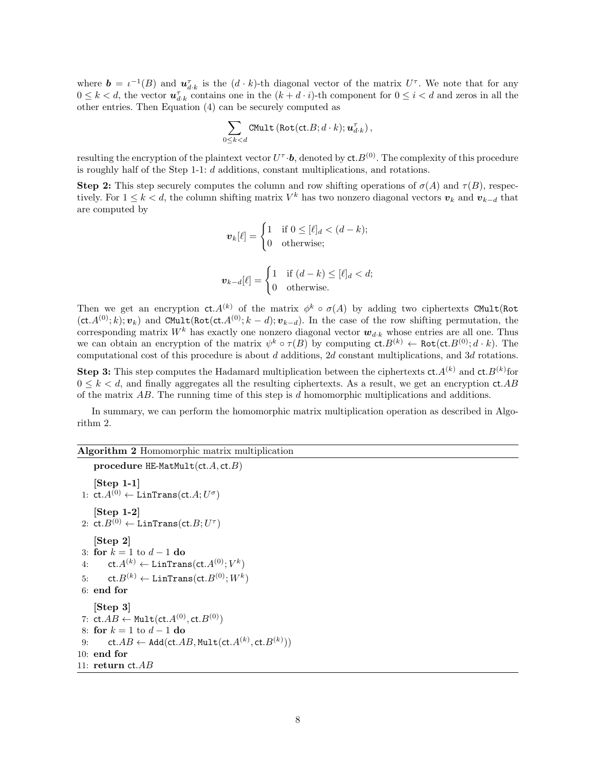where  $\mathbf{b} = \iota^{-1}(B)$  and  $\mathbf{u}_{d,k}^{\tau}$  is the  $(d \cdot k)$ -th diagonal vector of the matrix  $U^{\tau}$ . We note that for any  $0 \leq k < d$ , the vector  $u_{d,k}^{\tau}$  contains one in the  $(k + d \cdot i)$ -th component for  $0 \leq i < d$  and zeros in all the other entries. Then Equation (4) can be securely computed as

$$
\sum_{0 \leq k < d} \mathtt{CMult}\left(\mathtt{Rot}(\mathtt{ct}.B; d \cdot k); \boldsymbol{u}_{d \cdot k}^{\tau}\right),
$$

resulting the encryption of the plaintext vector  $U^{\tau} \cdot \bm{b}$ , denoted by  $ct.B^{(0)}$ . The complexity of this procedure is roughly half of the Step 1-1: d additions, constant multiplications, and rotations.

**Step 2:** This step securely computes the column and row shifting operations of  $\sigma(A)$  and  $\tau(B)$ , respectively. For  $1 \leq k < d$ , the column shifting matrix  $V^k$  has two nonzero diagonal vectors  $v_k$  and  $v_{k-d}$  that are computed by

$$
\boldsymbol{v}_k[\ell] = \begin{cases} 1 & \text{if } 0 \leq [\ell]_d < (d-k); \\ 0 & \text{otherwise}; \end{cases}
$$

$$
\boldsymbol{v}_{k-d}[\ell] = \begin{cases} 1 & \text{if } (d-k) \leq [\ell]_d < d; \\ 0 & \text{otherwise.} \end{cases}
$$

Then we get an encryption  $ct. A^{(k)}$  of the matrix  $\phi^k \circ \sigma(A)$  by adding two ciphertexts CMult(Rot  $(\text{ct.}A^{(0)}; k); v_k)$  and CMult(Rot(ct. $A^{(0)}; k - d; v_{k-d}$ ). In the case of the row shifting permutation, the corresponding matrix  $W^k$  has exactly one nonzero diagonal vector  $w_{d\cdot k}$  whose entries are all one. Thus we can obtain an encryption of the matrix  $\psi^k \circ \tau(B)$  by computing  $\mathsf{ct}.B^{(k)} \leftarrow \mathsf{Rot}(\mathsf{ct}.B^{(0)}; d \cdot k)$ . The computational cost of this procedure is about d additions, 2d constant multiplications, and 3d rotations.

**Step 3:** This step computes the Hadamard multiplication between the ciphertexts  $ct.A^{(k)}$  and  $ct.B^{(k)}$  for  $0 \leq k \leq d$ , and finally aggregates all the resulting ciphertexts. As a result, we get an encryption  $ct.AB$ of the matrix AB. The running time of this step is d homomorphic multiplications and additions.

In summary, we can perform the homomorphic matrix multiplication operation as described in Algorithm 2.

# Algorithm 2 Homomorphic matrix multiplication

```
procedure HE-MatMult(ct.A, ct.B)[Step 1-1]
  1: \mathsf{ct} A^{(0)} \leftarrow \mathsf{LinTrans}(\mathsf{ct}.A; U^{\sigma})[Step 1-2]
  2: \mathsf{ct}.B^{(0)} \leftarrow \mathsf{LinTrans}(\mathsf{ct}.B; U^\tau)[Step 2]
 3: for k = 1 to d - 1 do
  4: \qquad \mathsf{ct} . A^{(k)} \leftarrow \mathsf{LinTrans}(\mathsf{ct} . A^{(0)};V^k)5: \qquad \mathsf{ct}.B^{(k)} \leftarrow \mathsf{LinTrans}(\mathsf{ct}.B^{(0)};W^{k})6: end for
      [Step 3]
  7: \mathsf{ct}.AB \leftarrow \mathsf{Multi}(\mathsf{ct}.A^{(0)},\mathsf{ct}.B^{(0)})8: for k = 1 to d - 1 do
  9: ct.AB \leftarrow \texttt{Add}(\texttt{ct}.AB,\texttt{Mult}(\texttt{ct}.A^{(k)},\texttt{ct}.B^{(k)}))10: end for
11: return ct.AB
```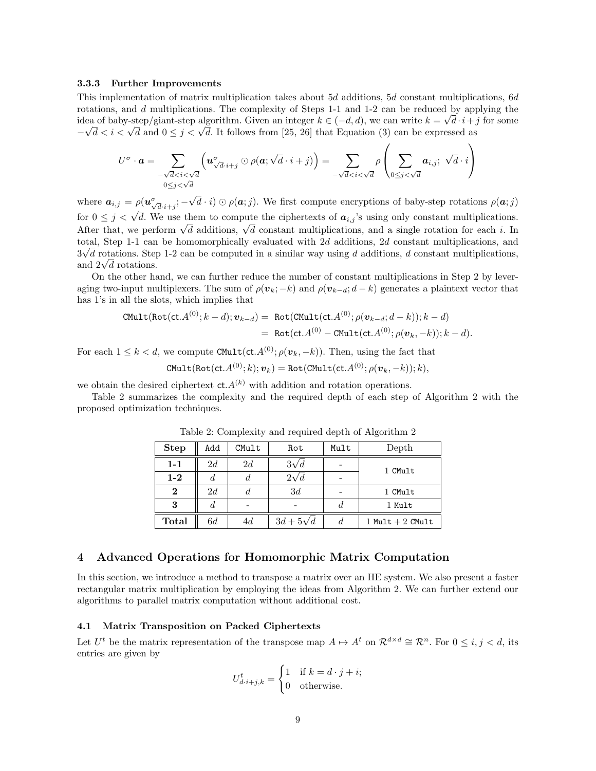#### 3.3.3 Further Improvements

This implementation of matrix multiplication takes about 5d additions, 5d constant multiplications, 6d rotations, and d multiplications. The complexity of Steps 1-1 and 1-2 can be reduced by applying the idea of baby-step/giant-step algorithm. Given an integer  $k \in (-d, d)$ , we can write  $k = \sqrt{d \cdot i + j}$  for some dea or baby-step/giant-step algorithm. Given an integer  $\kappa \in (-a, a)$ , we can write  $\kappa = \sqrt{a} \cdot i + \frac{1}{\sqrt{a}} < \sqrt{a}$  and  $0 \leq j < \sqrt{a}$ . It follows from [25, 26] that Equation (3) can be expressed as

$$
U^{\sigma} \cdot \mathbf{a} = \sum_{\substack{-\sqrt{d} < i < \sqrt{d} \\ 0 \leq j < \sqrt{d}}} \left( \mathbf{u}_{\sqrt{d} \cdot i + j}^{\sigma} \odot \rho(\mathbf{a}; \sqrt{d} \cdot i + j) \right) = \sum_{\substack{-\sqrt{d} < i < \sqrt{d} \\ 0 \leq j < \sqrt{d}}} \rho \left( \sum_{0 \leq j < \sqrt{d}} \mathbf{a}_{i,j}; \sqrt{d} \cdot i \right)
$$

where  $a_{i,j} = \rho(\boldsymbol{u}_{\sqrt{d}\cdot i+j}^{\sigma}; -)$ √  $d \cdot i) \odot \rho(\boldsymbol{\alpha};j)$ . We first compute encryptions of baby-step rotations  $\rho(\boldsymbol{\alpha};j)$ for  $0 \leq j < \sqrt{d}$ . We use them to compute the ciphertexts of  $a_{i,j}$ 's using only constant multiplications. of  $0 \leq j \leq \sqrt{a}$ . We use them to compute the ciphertexts of  $a_{i,j}$  is using only constant multiplications.<br>After that, we perform  $\sqrt{d}$  additions,  $\sqrt{d}$  constant multiplications, and a single rotation for each i. I total, Step 1-1 can be homomorphically evaluated with 2d additions, 2d constant multiplications, and  $3\sqrt{d}$  rotations. Step 1-2 can be computed in a similar way using d additions, d constant multiplications,  $3\sqrt{d}$  rotations. Step<br>and  $2\sqrt{d}$  rotations.

On the other hand, we can further reduce the number of constant multiplications in Step 2 by leveraging two-input multiplexers. The sum of  $\rho(\mathbf{v}_k; -k)$  and  $\rho(\mathbf{v}_{k-d}; d-k)$  generates a plaintext vector that has 1's in all the slots, which implies that

$$
\text{CMult}(\text{Rot}(\text{ct}.A^{(0)}; k-d); \boldsymbol{v}_{k-d}) = \text{Rot}(\text{CMult}(\text{ct}.A^{(0)}; \rho(\boldsymbol{v}_{k-d}; d-k)); k-d)
$$
  
= 
$$
\text{Rot}(\text{ct}.A^{(0)} - \text{CMult}(\text{ct}.A^{(0)}; \rho(\boldsymbol{v}_k, -k)); k-d).
$$

For each  $1 \leq k < d$ , we compute CMult(ct. $A^{(0)}$ ;  $\rho(\mathbf{v}_k, -k)$ ). Then, using the fact that

$$
\mathtt{CMult}(\mathtt{Rot}(\texttt{ct}.A^{(0)}; k); \boldsymbol{v}_k) = \mathtt{Rot}(\mathtt{CMult}(\texttt{ct}.A^{(0)}; \rho(\boldsymbol{v}_k, -k)); k),
$$

we obtain the desired ciphertext  $ct. A^{(k)}$  with addition and rotation operations.

Table 2 summarizes the complexity and the required depth of each step of Algorithm 2 with the proposed optimization techniques.

| <b>Step</b>  | Add | CMult | Rot            | Mult | Depth              |
|--------------|-----|-------|----------------|------|--------------------|
| $1 - 1$      | 2d  | 2d    | $3\sqrt{d}$    |      | 1 CMult            |
| $1-2$        | a.  | d     | $2\sqrt{d}$    |      |                    |
| $\bf{2}$     | 2d  | d     | 3d             |      | 1 CMult            |
| 3            | d.  |       |                | d    | 1 Mult             |
| <b>Total</b> | 6d  | 4d    | $3d+5\sqrt{d}$ | d    | 1 Mult $+$ 2 CMult |

Table 2: Complexity and required depth of Algorithm 2

# 4 Advanced Operations for Homomorphic Matrix Computation

In this section, we introduce a method to transpose a matrix over an HE system. We also present a faster rectangular matrix multiplication by employing the ideas from Algorithm 2. We can further extend our algorithms to parallel matrix computation without additional cost.

### 4.1 Matrix Transposition on Packed Ciphertexts

Let  $U^t$  be the matrix representation of the transpose map  $A \mapsto A^t$  on  $\mathcal{R}^{d \times d} \cong \mathcal{R}^n$ . For  $0 \leq i, j < d$ , its entries are given by

$$
U_{d \cdot i+j,k}^t = \begin{cases} 1 & \text{if } k = d \cdot j + i; \\ 0 & \text{otherwise.} \end{cases}
$$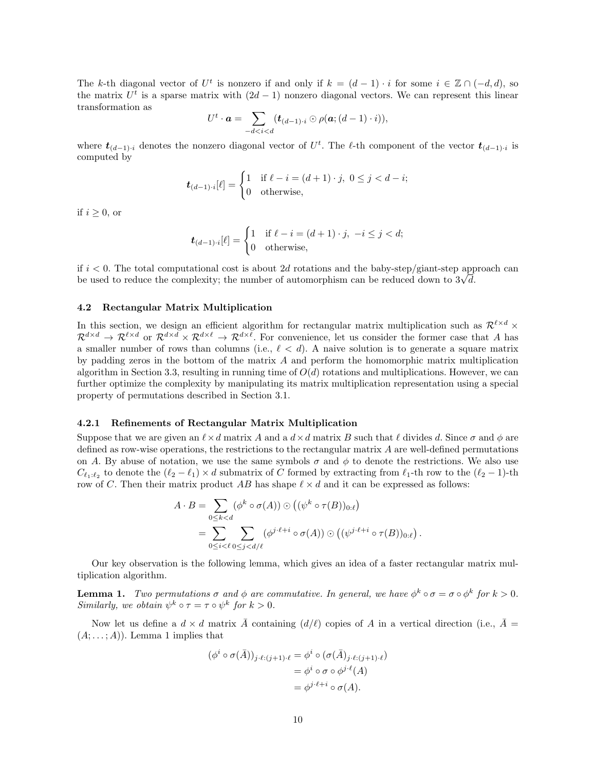The k-th diagonal vector of  $U^t$  is nonzero if and only if  $k = (d-1) \cdot i$  for some  $i \in \mathbb{Z} \cap (-d, d)$ , so the matrix  $U^t$  is a sparse matrix with  $(2d - 1)$  nonzero diagonal vectors. We can represent this linear transformation as

$$
U^t \cdot \mathbf{a} = \sum_{-d < i < d} (\mathbf{t}_{(d-1)\cdot i} \odot \rho(\mathbf{a}; (d-1)\cdot i)),
$$

where  $t_{(d-1):i}$  denotes the nonzero diagonal vector of  $U^t$ . The  $\ell$ -th component of the vector  $t_{(d-1):i}$  is computed by

$$
\boldsymbol{t}_{(d-1)\cdot i}[\ell] = \begin{cases} 1 & \text{if } \ell - i = (d+1)\cdot j, \ 0 \le j < d-i; \\ 0 & \text{otherwise,} \end{cases}
$$

if  $i \geq 0$ , or

$$
\boldsymbol{t}_{(d-1)\cdot i}[\ell] = \begin{cases} 1 & \text{if } \ell - i = (d+1)\cdot j, \ -i \le j < d; \\ 0 & \text{otherwise,} \end{cases}
$$

if  $i < 0$ . The total computational cost is about 2d rotations and the baby-step/giant-step approach can if  $i < 0$ . The total computational cost is about 2d rotations and the baby-step/giant-step app<br>be used to reduce the complexity; the number of automorphism can be reduced down to  $3\sqrt{d}$ .

#### 4.2 Rectangular Matrix Multiplication

In this section, we design an efficient algorithm for rectangular matrix multiplication such as  $\mathcal{R}^{\ell \times d}$  ×  $\mathcal{R}^{d \times d} \to \mathcal{R}^{\ell \times d}$  or  $\mathcal{R}^{d \times d} \times \mathcal{R}^{d \times \ell} \to \mathcal{R}^{d \times \ell}$ . For convenience, let us consider the former case that A has a smaller number of rows than columns (i.e.,  $\ell < d$ ). A naive solution is to generate a square matrix by padding zeros in the bottom of the matrix  $A$  and perform the homomorphic matrix multiplication algorithm in Section 3.3, resulting in running time of  $O(d)$  rotations and multiplications. However, we can further optimize the complexity by manipulating its matrix multiplication representation using a special property of permutations described in Section 3.1.

#### 4.2.1 Refinements of Rectangular Matrix Multiplication

Suppose that we are given an  $\ell \times d$  matrix A and a  $d \times d$  matrix B such that  $\ell$  divides d. Since  $\sigma$  and  $\phi$  are defined as row-wise operations, the restrictions to the rectangular matrix A are well-defined permutations on A. By abuse of notation, we use the same symbols  $\sigma$  and  $\phi$  to denote the restrictions. We also use  $C_{\ell_1:\ell_2}$  to denote the  $(\ell_2 - \ell_1) \times d$  submatrix of C formed by extracting from  $\ell_1$ -th row to the  $(\ell_2 - 1)$ -th row of C. Then their matrix product AB has shape  $\ell \times d$  and it can be expressed as follows:

$$
A \cdot B = \sum_{0 \le k < d} (\phi^k \circ \sigma(A)) \odot ((\psi^k \circ \tau(B))_{0:\ell})
$$
\n
$$
= \sum_{0 \le i < \ell} \sum_{0 \le j < d/\ell} (\phi^{j \cdot \ell + i} \circ \sigma(A)) \odot ((\psi^{j \cdot \ell + i} \circ \tau(B))_{0:\ell})
$$

.

Our key observation is the following lemma, which gives an idea of a faster rectangular matrix multiplication algorithm.

**Lemma 1.** Two permutations  $\sigma$  and  $\phi$  are commutative. In general, we have  $\phi^k \circ \sigma = \sigma \circ \phi^k$  for  $k > 0$ . Similarly, we obtain  $\psi^k \circ \tau = \tau \circ \psi^k$  for  $k > 0$ .

Now let us define a  $d \times d$  matrix A containing  $(d/\ell)$  copies of A in a vertical direction (i.e.,  $\bar{A} =$  $(A; \ldots; A)$ . Lemma 1 implies that

$$
(\phi^i \circ \sigma(\bar{A}))_{j \cdot \ell : (j+1) \cdot \ell} = \phi^i \circ (\sigma(\bar{A})_{j \cdot \ell : (j+1) \cdot \ell})
$$
  
=  $\phi^i \circ \sigma \circ \phi^{j \cdot \ell}(A)$   
=  $\phi^{j \cdot \ell + i} \circ \sigma(A).$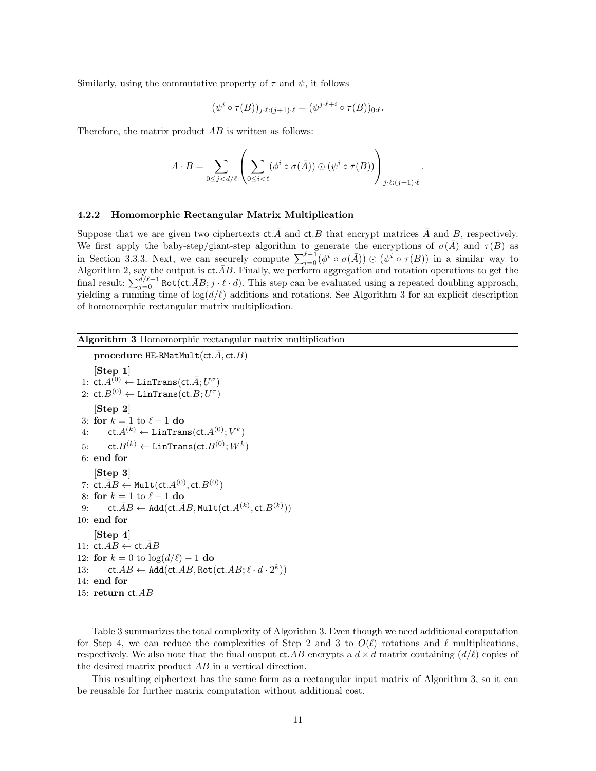Similarly, using the commutative property of  $\tau$  and  $\psi$ , it follows

$$
(\psi^i \circ \tau(B))_{j \cdot \ell : (j+1) \cdot \ell} = (\psi^{j \cdot \ell + i} \circ \tau(B))_{0 \cdot \ell}.
$$

Therefore, the matrix product  $AB$  is written as follows:

$$
A \cdot B = \sum_{0 \leq j < d/\ell} \left( \sum_{0 \leq i < \ell} (\phi^i \circ \sigma(\bar{A})) \odot (\psi^i \circ \tau(B)) \right)_{j \cdot \ell : (j+1) \cdot \ell}.
$$

#### 4.2.2 Homomorphic Rectangular Matrix Multiplication

Suppose that we are given two ciphertexts  $ct.\overline{A}$  and  $ct.\overline{B}$  that encrypt matrices  $\overline{A}$  and  $\overline{B}$ , respectively. We first apply the baby-step/giant-step algorithm to generate the encryptions of  $\sigma(\overline{A})$  and  $\tau(B)$  as in Section 3.3.3. Next, we can securely compute  $\sum_{i=0}^{\ell-1} (\phi^i \circ \sigma(\overline{A})) \odot (\psi^i \circ \tau(B))$  in a similar way to Algorithm 2, say the output is  $ct.\bar{A}B$ . Finally, we perform aggregation and rotation operations to get the final result:  $\sum_{j=0}^{d/\ell-1}$  Rot(ct. $\bar{A}B$ ;  $j \cdot \ell \cdot d$ ). This step can be evaluated using a repeated doubling approach, yielding a running time of  $\log(d/\ell)$  additions and rotations. See Algorithm 3 for an explicit description of homomorphic rectangular matrix multiplication.

### Algorithm 3 Homomorphic rectangular matrix multiplication

```
procedure HE-RMatMult(ct.\bar{A}, ct.B)
      [Step 1]
  1: \mathsf{ct} A^{(0)} \leftarrow \mathsf{LinTrans}(\mathsf{ct}.\bar{A};U^{\sigma})2\colon\operatorname{ct}{.}B^{(0)}\leftarrow\operatorname{\text{\rm LinTrans}}(\operatorname{ct}{.}B;U^\tau)[Step 2]
 3: for k = 1 to \ell - 1 do
  4: \qquad \mathsf{ct} . A^{(k)} \leftarrow \mathsf{LinTrans}(\mathsf{ct} . A^{(0)};V^k)5: \qquad \mathsf{ct}.B^{(k)} \leftarrow \mathsf{LinTrans}(\mathsf{ct}.B^{(0)};W^{k})6: end for
      [Step 3]
  7: \mathsf{ct.}\bar{A}B \leftarrow \mathsf{Mult}(\mathsf{ct.}A^{(0)},\mathsf{ct.}B^{(0)})8: for k = 1 to \ell - 1 do
  9: \mathsf{ct.}\bar{A}B \leftarrow \mathsf{Add}(\mathsf{ct.}\bar{A}B,\mathsf{Mult}(\mathsf{ct.}A^{(k)},\mathsf{ct.}B^{(k)}))10: end for
      [Step 4]
11: ct.AB \leftarrow ct.AB12: for k = 0 to \log(d/\ell) - 1 do
13: ct.AB \leftarrow \text{Add}(\text{ct.}AB, \text{Rot}(\text{ct.}AB; \ell \cdot d \cdot 2^k))14: end for
15: return ct.AB
```
Table 3 summarizes the total complexity of Algorithm 3. Even though we need additional computation for Step 4, we can reduce the complexities of Step 2 and 3 to  $O(\ell)$  rotations and  $\ell$  multiplications, respectively. We also note that the final output  $ct.AB$  encrypts a  $d \times d$  matrix containing  $(d/\ell)$  copies of the desired matrix product AB in a vertical direction.

This resulting ciphertext has the same form as a rectangular input matrix of Algorithm 3, so it can be reusable for further matrix computation without additional cost.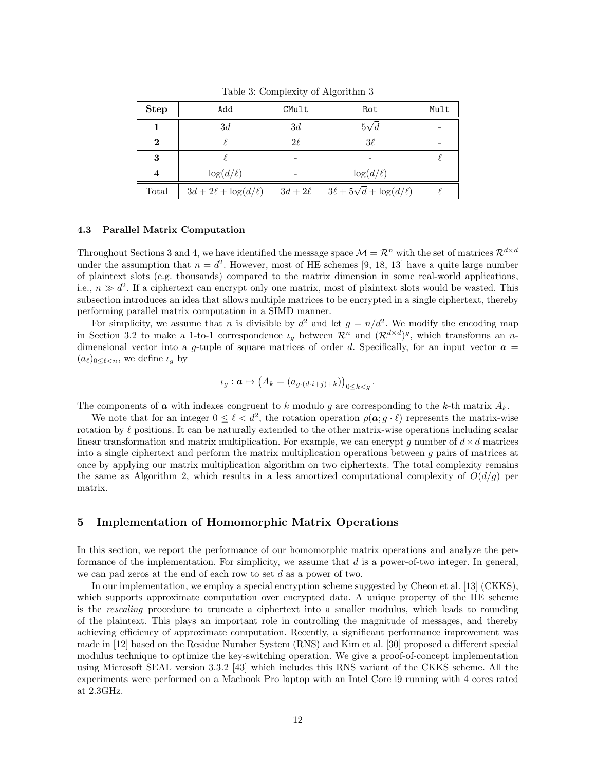| <b>Step</b>    | Add                     | CMult      | Rot                                | Mult |
|----------------|-------------------------|------------|------------------------------------|------|
|                | 3d                      | 3d         | $5\sqrt{d}$                        |      |
| $\bf{2}$       |                         | $2\ell$    | $3\ell$                            |      |
| 3              |                         |            |                                    |      |
| $\overline{4}$ | $\log(d/\ell)$          |            | $\log(d/\ell)$                     |      |
| Total          | $3d+2\ell+\log(d/\ell)$ | $3d+2\ell$ | $3\ell + 5\sqrt{d} + \log(d/\ell)$ |      |

Table 3: Complexity of Algorithm 3

# 4.3 Parallel Matrix Computation

Throughout Sections 3 and 4, we have identified the message space  $\mathcal{M} = \mathcal{R}^n$  with the set of matrices  $\mathcal{R}^{d \times d}$ under the assumption that  $n = d^2$ . However, most of HE schemes [9, 18, 13] have a quite large number of plaintext slots (e.g. thousands) compared to the matrix dimension in some real-world applications, i.e.,  $n \gg d^2$ . If a ciphertext can encrypt only one matrix, most of plaintext slots would be wasted. This subsection introduces an idea that allows multiple matrices to be encrypted in a single ciphertext, thereby performing parallel matrix computation in a SIMD manner.

For simplicity, we assume that n is divisible by  $d^2$  and let  $g = n/d^2$ . We modify the encoding map in Section 3.2 to make a 1-to-1 correspondence  $\iota_g$  between  $\mathcal{R}^n$  and  $(\mathcal{R}^{d \times d})^g$ , which transforms an ndimensional vector into a g-tuple of square matrices of order d. Specifically, for an input vector  $\boldsymbol{a} =$  $(a_{\ell})_{0\leq \ell \leq n}$ , we define  $\iota_q$  by

$$
\iota_g: \mathbf{a} \mapsto \left(A_k = (a_{g \cdot (d \cdot i + j) + k})\right)_{0 \leq k < g}.
$$

The components of **a** with indexes congruent to k modulo g are corresponding to the k-th matrix  $A_k$ .

We note that for an integer  $0 \leq \ell < d^2$ , the rotation operation  $\rho(\boldsymbol{a}; g \cdot \ell)$  represents the matrix-wise rotation by  $\ell$  positions. It can be naturally extended to the other matrix-wise operations including scalar linear transformation and matrix multiplication. For example, we can encrypt q number of  $d \times d$  matrices into a single ciphertext and perform the matrix multiplication operations between g pairs of matrices at once by applying our matrix multiplication algorithm on two ciphertexts. The total complexity remains the same as Algorithm 2, which results in a less amortized computational complexity of  $O(d/g)$  per matrix.

# 5 Implementation of Homomorphic Matrix Operations

In this section, we report the performance of our homomorphic matrix operations and analyze the performance of the implementation. For simplicity, we assume that  $d$  is a power-of-two integer. In general, we can pad zeros at the end of each row to set  $d$  as a power of two.

In our implementation, we employ a special encryption scheme suggested by Cheon et al. [13] (CKKS), which supports approximate computation over encrypted data. A unique property of the HE scheme is the rescaling procedure to truncate a ciphertext into a smaller modulus, which leads to rounding of the plaintext. This plays an important role in controlling the magnitude of messages, and thereby achieving efficiency of approximate computation. Recently, a significant performance improvement was made in [12] based on the Residue Number System (RNS) and Kim et al. [30] proposed a different special modulus technique to optimize the key-switching operation. We give a proof-of-concept implementation using Microsoft SEAL version 3.3.2 [43] which includes this RNS variant of the CKKS scheme. All the experiments were performed on a Macbook Pro laptop with an Intel Core i9 running with 4 cores rated at 2.3GHz.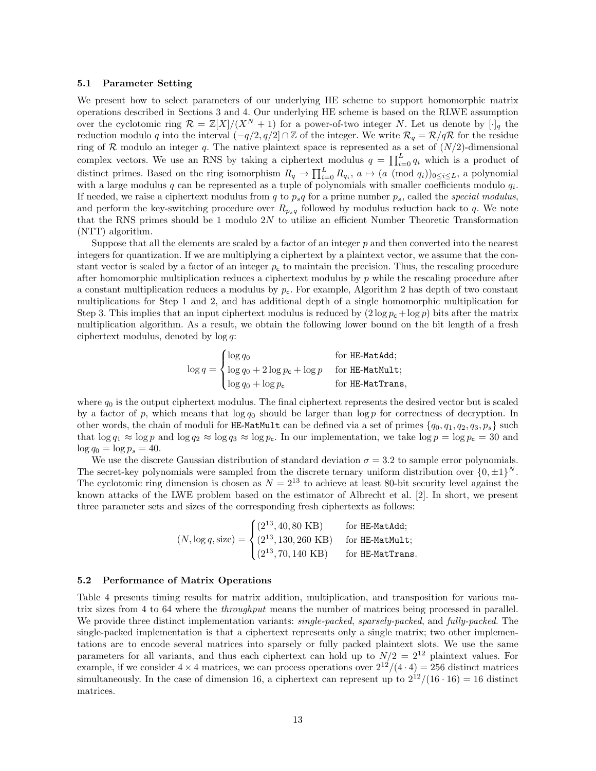#### 5.1 Parameter Setting

We present how to select parameters of our underlying HE scheme to support homomorphic matrix operations described in Sections 3 and 4. Our underlying HE scheme is based on the RLWE assumption over the cyclotomic ring  $\mathcal{R} = \mathbb{Z}[X]/(X^N + 1)$  for a power-of-two integer N. Let us denote by  $[\cdot]_q$  the reduction modulo q into the interval  $(-q/2, q/2] \cap \mathbb{Z}$  of the integer. We write  $\mathcal{R}_q = \mathcal{R}/q\mathcal{R}$  for the residue ring of  $R$  modulo an integer q. The native plaintext space is represented as a set of  $(N/2)$ -dimensional complex vectors. We use an RNS by taking a ciphertext modulus  $q = \prod_{i=0}^{L} q_i$  which is a product of distinct primes. Based on the ring isomorphism  $R_q \to \prod_{i=0}^L R_{q_i}$ ,  $a \mapsto (a \pmod{q_i})_{0 \leq i \leq L}$ , a polynomial with a large modulus q can be represented as a tuple of polynomials with smaller coefficients modulo  $q_i$ . If needed, we raise a ciphertext modulus from q to  $p_s q$  for a prime number  $p_s$ , called the special modulus, and perform the key-switching procedure over  $R_{p_{s}q}$  followed by modulus reduction back to q. We note that the RNS primes should be 1 modulo 2N to utilize an efficient Number Theoretic Transformation (NTT) algorithm.

Suppose that all the elements are scaled by a factor of an integer  $p$  and then converted into the nearest integers for quantization. If we are multiplying a ciphertext by a plaintext vector, we assume that the constant vector is scaled by a factor of an integer  $p_c$  to maintain the precision. Thus, the rescaling procedure after homomorphic multiplication reduces a ciphertext modulus by p while the rescaling procedure after a constant multiplication reduces a modulus by  $p_c$ . For example, Algorithm 2 has depth of two constant multiplications for Step 1 and 2, and has additional depth of a single homomorphic multiplication for Step 3. This implies that an input ciphertext modulus is reduced by  $(2 \log p_c + \log p)$  bits after the matrix multiplication algorithm. As a result, we obtain the following lower bound on the bit length of a fresh ciphertext modulus, denoted by  $log q$ :

$$
\log q = \begin{cases} \log q_0 & \text{for HE-MatAdd;} \\ \log q_0 + 2 \log p_{\mathsf{c}} + \log p & \text{for HE-MatMult;} \\ \log q_0 + \log p_{\mathsf{c}} & \text{for HE-MatTrans,} \end{cases}
$$

where  $q_0$  is the output ciphertext modulus. The final ciphertext represents the desired vector but is scaled by a factor of p, which means that  $\log q_0$  should be larger than  $\log p$  for correctness of decryption. In other words, the chain of moduli for HE-MatMult can be defined via a set of primes  $\{q_0, q_1, q_2, q_3, p_s\}$  such that  $\log q_1 \approx \log p$  and  $\log q_2 \approx \log q_3 \approx \log p_c$ . In our implementation, we take  $\log p = \log p_c = 30$  and  $\log q_0 = \log p_s = 40.$ 

We use the discrete Gaussian distribution of standard deviation  $\sigma = 3.2$  to sample error polynomials. The secret-key polynomials were sampled from the discrete ternary uniform distribution over  $\{0, \pm 1\}^N$ . The cyclotomic ring dimension is chosen as  $N = 2^{13}$  to achieve at least 80-bit security level against the known attacks of the LWE problem based on the estimator of Albrecht et al. [2]. In short, we present three parameter sets and sizes of the corresponding fresh ciphertexts as follows:

$$
(N, \log q, \text{size}) = \begin{cases} (2^{13}, 40, 80 \text{ KB}) & \text{for HE-MatAdd;} \\ (2^{13}, 130, 260 \text{ KB}) & \text{for HE-MatMult;} \\ (2^{13}, 70, 140 \text{ KB}) & \text{for HE-MatTrans.} \end{cases}
$$

#### 5.2 Performance of Matrix Operations

Table 4 presents timing results for matrix addition, multiplication, and transposition for various matrix sizes from 4 to 64 where the *throughput* means the number of matrices being processed in parallel. We provide three distinct implementation variants: *single-packed, sparsely-packed*, and *fully-packed*. The single-packed implementation is that a ciphertext represents only a single matrix; two other implementations are to encode several matrices into sparsely or fully packed plaintext slots. We use the same parameters for all variants, and thus each ciphertext can hold up to  $N/2 = 2^{12}$  plaintext values. For example, if we consider  $4 \times 4$  matrices, we can process operations over  $2^{12}/(4 \cdot 4) = 256$  distinct matrices simultaneously. In the case of dimension 16, a ciphertext can represent up to  $2^{12}/(16 \cdot 16) = 16$  distinct matrices.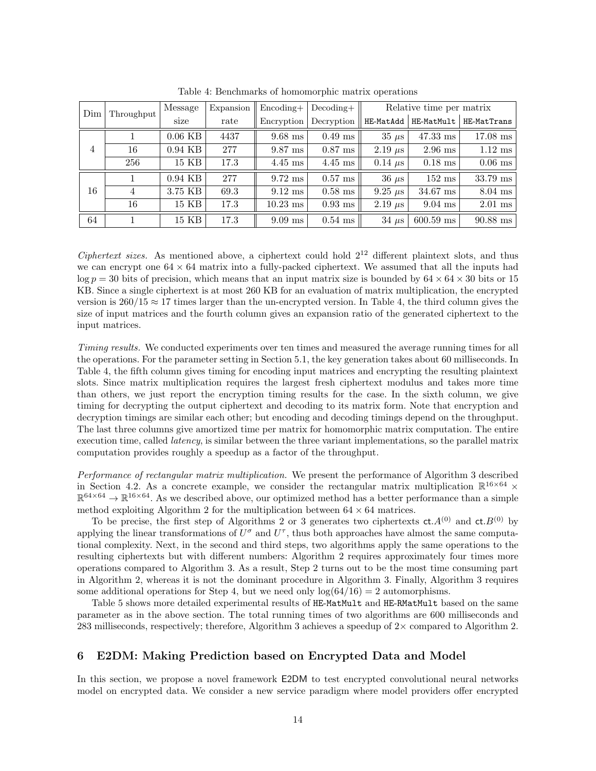| Dim            | Throughput | Message   | Expansion | $\rm{Encoding}+$ | Relative time per matrix<br>$Decoding+$ |                |                  |             |  |
|----------------|------------|-----------|-----------|------------------|-----------------------------------------|----------------|------------------|-------------|--|
|                |            | size      | rate      | Encryption       | Decryption                              | HE-MatAdd      | HE-MatMult       | HE-MatTrans |  |
|                |            | $0.06$ KB | 4437      | $9.68$ ms        | $0.49$ ms                               | $35 \mu s$     | $47.33$ ms       | $17.08$ ms  |  |
| $\overline{4}$ | 16         | $0.94$ KB | 277       | $9.87$ ms        | $0.87$ ms                               | $2.19 \ \mu s$ | $2.96$ ms        | $1.12$ ms   |  |
|                | 256        | 15 KB     | 17.3      | $4.45$ ms        | $4.45$ ms                               | $0.14 \mu s$   | $0.18$ ms        | $0.06$ ms   |  |
|                |            | $0.94$ KB | 277       | $9.72$ ms        | $0.57$ ms                               | $36 \mu s$     | $152 \text{ ms}$ | 33.79 ms    |  |
| 16             | 4          | 3.75 KB   | 69.3      | $9.12$ ms        | $0.58$ ms                               | $9.25 \ \mu s$ | $34.67$ ms       | $8.04$ ms   |  |
|                | 16         | 15 KB     | 17.3      | $10.23$ ms       | $0.93$ ms                               | $2.19 \ \mu s$ | $9.04$ ms        | $2.01$ ms   |  |
| 64             |            | 15 KB     | 17.3      | $9.09$ ms        | $0.54$ ms                               | $34 \mu s$     | $600.59$ ms      | $90.88$ ms  |  |

Table 4: Benchmarks of homomorphic matrix operations

Ciphertext sizes. As mentioned above, a ciphertext could hold  $2^{12}$  different plaintext slots, and thus we can encrypt one  $64 \times 64$  matrix into a fully-packed ciphertext. We assumed that all the inputs had  $\log p = 30$  bits of precision, which means that an input matrix size is bounded by  $64 \times 64 \times 30$  bits or 15 KB. Since a single ciphertext is at most 260 KB for an evaluation of matrix multiplication, the encrypted version is  $260/15 \approx 17$  times larger than the un-encrypted version. In Table 4, the third column gives the size of input matrices and the fourth column gives an expansion ratio of the generated ciphertext to the input matrices.

Timing results. We conducted experiments over ten times and measured the average running times for all the operations. For the parameter setting in Section 5.1, the key generation takes about 60 milliseconds. In Table 4, the fifth column gives timing for encoding input matrices and encrypting the resulting plaintext slots. Since matrix multiplication requires the largest fresh ciphertext modulus and takes more time than others, we just report the encryption timing results for the case. In the sixth column, we give timing for decrypting the output ciphertext and decoding to its matrix form. Note that encryption and decryption timings are similar each other; but encoding and decoding timings depend on the throughput. The last three columns give amortized time per matrix for homomorphic matrix computation. The entire execution time, called *latency*, is similar between the three variant implementations, so the parallel matrix computation provides roughly a speedup as a factor of the throughput.

Performance of rectangular matrix multiplication. We present the performance of Algorithm 3 described in Section 4.2. As a concrete example, we consider the rectangular matrix multiplication  $\mathbb{R}^{16\times64}\times$  $\mathbb{R}^{64\times64} \to \mathbb{R}^{16\times64}$ . As we described above, our optimized method has a better performance than a simple method exploiting Algorithm 2 for the multiplication between  $64 \times 64$  matrices.

To be precise, the first step of Algorithms 2 or 3 generates two ciphertexts  $ct.A^{(0)}$  and  $ct.B^{(0)}$  by applying the linear transformations of  $U^{\sigma}$  and  $U^{\tau}$ , thus both approaches have almost the same computational complexity. Next, in the second and third steps, two algorithms apply the same operations to the resulting ciphertexts but with different numbers: Algorithm 2 requires approximately four times more operations compared to Algorithm 3. As a result, Step 2 turns out to be the most time consuming part in Algorithm 2, whereas it is not the dominant procedure in Algorithm 3. Finally, Algorithm 3 requires some additional operations for Step 4, but we need only  $log(64/16) = 2$  automorphisms.

Table 5 shows more detailed experimental results of HE-MatMult and HE-RMatMult based on the same parameter as in the above section. The total running times of two algorithms are 600 milliseconds and 283 milliseconds, respectively; therefore, Algorithm 3 achieves a speedup of  $2\times$  compared to Algorithm 2.

# 6 E2DM: Making Prediction based on Encrypted Data and Model

In this section, we propose a novel framework E2DM to test encrypted convolutional neural networks model on encrypted data. We consider a new service paradigm where model providers offer encrypted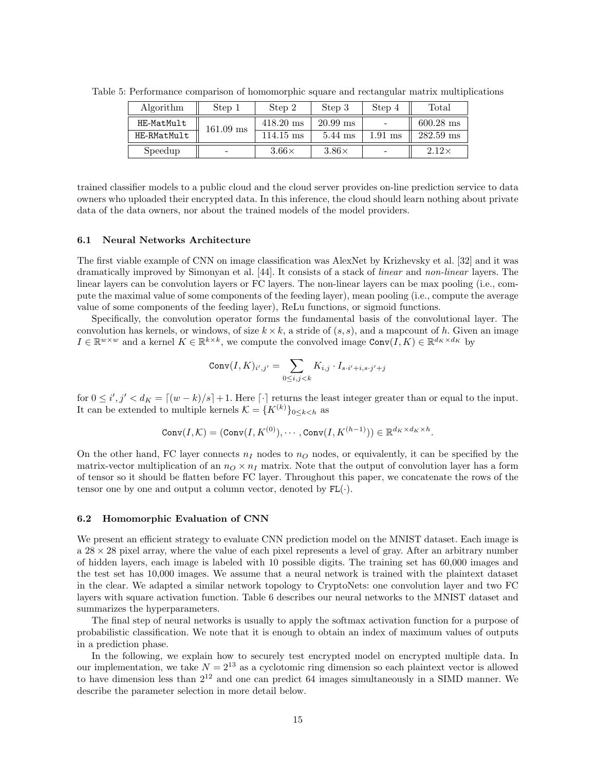| Algorithm   | Step 1                   | Step 2              | Step 3       | Step 4                   | Total        |
|-------------|--------------------------|---------------------|--------------|--------------------------|--------------|
| HE-MatMult  | $161.09 \text{ ms}$      | $418.20 \text{ ms}$ | $20.99$ ms   |                          | $600.28$ ms  |
| HE-RMatMult |                          | $114.15 \text{ ms}$ | $5.44$ ms    | $1.91$ ms                | $282.59$ ms  |
| Speedup     | $\overline{\phantom{a}}$ | $3.66\times$        | $3.86\times$ | $\overline{\phantom{a}}$ | $2.12\times$ |

Table 5: Performance comparison of homomorphic square and rectangular matrix multiplications

trained classifier models to a public cloud and the cloud server provides on-line prediction service to data owners who uploaded their encrypted data. In this inference, the cloud should learn nothing about private data of the data owners, nor about the trained models of the model providers.

### 6.1 Neural Networks Architecture

The first viable example of CNN on image classification was AlexNet by Krizhevsky et al. [32] and it was dramatically improved by Simonyan et al. [44]. It consists of a stack of linear and non-linear layers. The linear layers can be convolution layers or FC layers. The non-linear layers can be max pooling (i.e., compute the maximal value of some components of the feeding layer), mean pooling (i.e., compute the average value of some components of the feeding layer), ReLu functions, or sigmoid functions.

Specifically, the convolution operator forms the fundamental basis of the convolutional layer. The convolution has kernels, or windows, of size  $k \times k$ , a stride of  $(s, s)$ , and a mapcount of h. Given an image  $I \in \mathbb{R}^{w \times w}$  and a kernel  $K \in \mathbb{R}^{k \times k}$ , we compute the convolved image  $\text{Conv}(I, K) \in \mathbb{R}^{d_K \times d_K}$  by

$$
\operatorname{Conv}(I,K)_{i',j'} = \sum_{0 \le i,j < k} K_{i,j} \cdot I_{s \cdot i' + i,s \cdot j' + j}
$$

for  $0 \le i', j' < d_K = [(w-k)/s]+1$ . Here  $\lceil \cdot \rceil$  returns the least integer greater than or equal to the input. It can be extended to multiple kernels  $\mathcal{K} = \{K^{(k)}\}_{0 \leq k \leq h}$  as

$$
\operatorname{Conv}(I,\mathcal{K}) = (\operatorname{Conv}(I,K^{(0)}),\cdots,\operatorname{Conv}(I,K^{(h-1)})) \in \mathbb{R}^{d_K \times d_K \times h}.
$$

On the other hand, FC layer connects  $n_I$  nodes to  $n_O$  nodes, or equivalently, it can be specified by the matrix-vector multiplication of an  $n_Q \times n_I$  matrix. Note that the output of convolution layer has a form of tensor so it should be flatten before FC layer. Throughout this paper, we concatenate the rows of the tensor one by one and output a column vector, denoted by  $FL(\cdot)$ .

#### 6.2 Homomorphic Evaluation of CNN

We present an efficient strategy to evaluate CNN prediction model on the MNIST dataset. Each image is  $a$  28  $\times$  28 pixel array, where the value of each pixel represents a level of gray. After an arbitrary number of hidden layers, each image is labeled with 10 possible digits. The training set has 60,000 images and the test set has 10,000 images. We assume that a neural network is trained with the plaintext dataset in the clear. We adapted a similar network topology to CryptoNets: one convolution layer and two FC layers with square activation function. Table 6 describes our neural networks to the MNIST dataset and summarizes the hyperparameters.

The final step of neural networks is usually to apply the softmax activation function for a purpose of probabilistic classification. We note that it is enough to obtain an index of maximum values of outputs in a prediction phase.

In the following, we explain how to securely test encrypted model on encrypted multiple data. In our implementation, we take  $N = 2^{13}$  as a cyclotomic ring dimension so each plaintext vector is allowed to have dimension less than  $2^{12}$  and one can predict 64 images simultaneously in a SIMD manner. We describe the parameter selection in more detail below.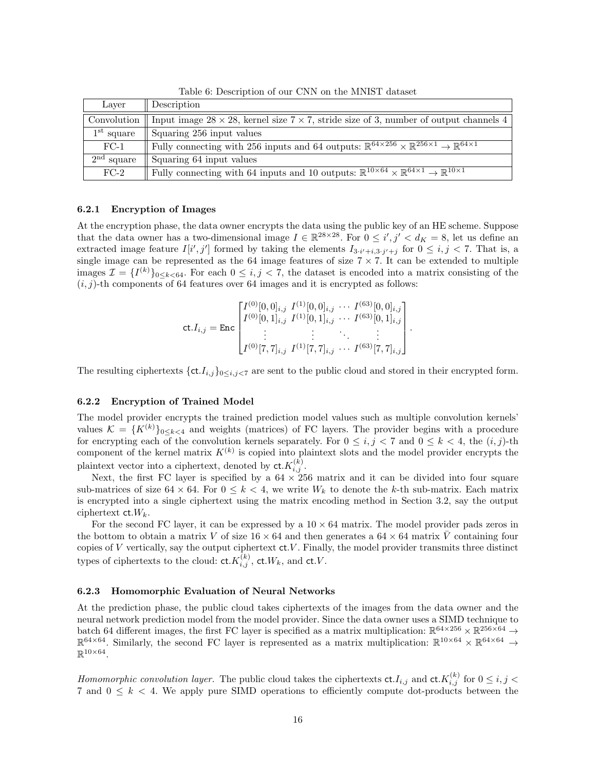| Laver        | Description                                                                                                                                 |
|--------------|---------------------------------------------------------------------------------------------------------------------------------------------|
| Convolution  | Input image $28 \times 28$ , kernel size $7 \times 7$ , stride size of 3, number of output channels 4                                       |
| $1st$ square | Squaring 256 input values                                                                                                                   |
| $FC-1$       | Fully connecting with 256 inputs and 64 outputs: $\mathbb{R}^{64 \times 256} \times \mathbb{R}^{256 \times 1} \to \mathbb{R}^{64 \times 1}$ |
| $2nd$ square | Squaring 64 input values                                                                                                                    |
| $FC-2$       | Fully connecting with 64 inputs and 10 outputs: $\mathbb{R}^{10\times64}\times\overline{\mathbb{R}^{64\times1}\to\mathbb{R}^{10\times1}}$   |

Table 6: Description of our CNN on the MNIST dataset

# 6.2.1 Encryption of Images

At the encryption phase, the data owner encrypts the data using the public key of an HE scheme. Suppose that the data owner has a two-dimensional image  $I \in \mathbb{R}^{28 \times 28}$ . For  $0 \leq i', j' < d_K = 8$ , let us define an extracted image feature  $I[i', j']$  formed by taking the elements  $I_{3\cdot i'+i,3\cdot j'+j}$  for  $0 \leq i, j < 7$ . That is, a single image can be represented as the 64 image features of size  $7 \times 7$ . It can be extended to multiple images  $\mathcal{I} = \{I^{(k)}\}_{0 \leq k < 64}$ . For each  $0 \leq i, j < 7$ , the dataset is encoded into a matrix consisting of the  $(i, j)$ -th components of 64 features over 64 images and it is encrypted as follows:

$$
\text{ct.} I_{i,j} = \text{Enc} \begin{bmatrix} I^{(0)}[0,0]_{i,j} & I^{(1)}[0,0]_{i,j} & \cdots & I^{(63)}[0,0]_{i,j} \\ I^{(0)}[0,1]_{i,j} & I^{(1)}[0,1]_{i,j} & \cdots & I^{(63)}[0,1]_{i,j} \\ \vdots & \vdots & \ddots & \vdots \\ I^{(0)}[7,7]_{i,j} & I^{(1)}[7,7]_{i,j} & \cdots & I^{(63)}[7,7]_{i,j} \end{bmatrix}.
$$

The resulting ciphertexts  $\{ct.I_{i,j}\}_{0\leq i,j\leq 7}$  are sent to the public cloud and stored in their encrypted form.

### 6.2.2 Encryption of Trained Model

The model provider encrypts the trained prediction model values such as multiple convolution kernels' values  $\mathcal{K} = \{K^{(k)}\}_{0 \leq k \leq 4}$  and weights (matrices) of FC layers. The provider begins with a procedure for encrypting each of the convolution kernels separately. For  $0 \le i, j \le 7$  and  $0 \le k \le 4$ , the  $(i, j)$ -th component of the kernel matrix  $K^{(k)}$  is copied into plaintext slots and the model provider encrypts the plaintext vector into a ciphertext, denoted by  $\mathsf{ct.}K_{i,j}^{(k)}$ .

Next, the first FC layer is specified by a  $64 \times 256$  matrix and it can be divided into four square sub-matrices of size  $64 \times 64$ . For  $0 \leq k < 4$ , we write  $W_k$  to denote the k-th sub-matrix. Each matrix is encrypted into a single ciphertext using the matrix encoding method in Section 3.2, say the output ciphertext  $ct.W_k$ .

For the second FC layer, it can be expressed by a  $10 \times 64$  matrix. The model provider pads zeros in the bottom to obtain a matrix V of size  $16 \times 64$  and then generates a  $64 \times 64$  matrix V containing four copies of  $V$  vertically, say the output ciphertext  $ct. V$ . Finally, the model provider transmits three distinct types of ciphertexts to the cloud:  $\mathsf{ct.}K_{i,j}^{(k)}$ ,  $\mathsf{ct.}W_k$ , and  $\mathsf{ct.}V$ .

#### 6.2.3 Homomorphic Evaluation of Neural Networks

At the prediction phase, the public cloud takes ciphertexts of the images from the data owner and the neural network prediction model from the model provider. Since the data owner uses a SIMD technique to batch 64 different images, the first FC layer is specified as a matrix multiplication:  $\mathbb{R}^{64\times256}\times\mathbb{R}^{256\times64}\to$  $\mathbb{R}^{64\times64}$ . Similarly, the second FC layer is represented as a matrix multiplication:  $\mathbb{R}^{10\times64}\times\mathbb{R}^{64\times64}\to$  $\mathbb{R}^{10\times64}$ .

Homomorphic convolution layer. The public cloud takes the ciphertexts  $\mathsf{ct}.I_{i,j}$  and  $\mathsf{ct}.K_{i,j}^{(k)}$  for  $0 \leq i,j < k$ 7 and  $0 \leq k < 4$ . We apply pure SIMD operations to efficiently compute dot-products between the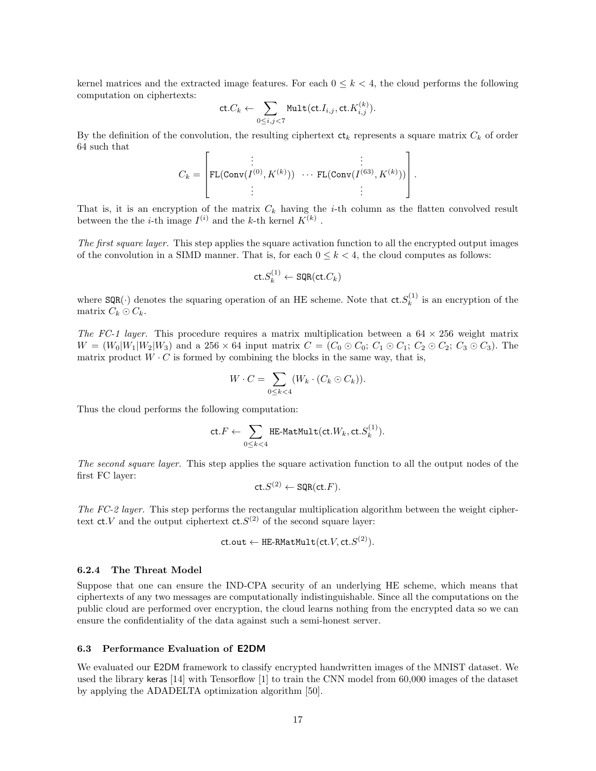kernel matrices and the extracted image features. For each  $0 \leq k < 4$ , the cloud performs the following computation on ciphertexts:

$$
\mathsf{ct}.C_k \leftarrow \sum_{0 \leq i,j < 7} \mathsf{Mult}(\mathsf{ct}.I_{i,j},\mathsf{ct}.K_{i,j}^{(k)}).
$$

By the definition of the convolution, the resulting ciphertext  $ct_k$  represents a square matrix  $C_k$  of order 64 such that

$$
C_k = \left[ \begin{matrix} \vdots & \vdots \\ \texttt{FL}(\texttt{Conv}(I^{(0)},K^{(k)})) & \cdots \texttt{FL}(\texttt{Conv}(I^{(63)},K^{(k)}))\\ \vdots & \vdots \end{matrix} \right].
$$

That is, it is an encryption of the matrix  $C_k$  having the *i*-th column as the flatten convolved result between the the *i*-th image  $I^{(i)}$  and the *k*-th kernel  $K^{(k)}$ .

The first square layer. This step applies the square activation function to all the encrypted output images of the convolution in a SIMD manner. That is, for each  $0 \leq k < 4$ , the cloud computes as follows:

$$
\mathsf{ct.}S_k^{(1)} \leftarrow \mathsf{SQR}(\mathsf{ct.}C_k)
$$

where  $\text{SQR}(\cdot)$  denotes the squaring operation of an HE scheme. Note that  $\text{ct.}S_k^{(1)}$  is an encryption of the matrix  $C_k \odot C_k$ .

The FC-1 layer. This procedure requires a matrix multiplication between a  $64 \times 256$  weight matrix  $W = (W_0|W_1|W_2|W_3)$  and a 256  $\times$  64 input matrix  $C = (C_0 \odot C_0; C_1 \odot C_1; C_2 \odot C_2; C_3 \odot C_3)$ . The matrix product  $W \cdot C$  is formed by combining the blocks in the same way, that is,

$$
W \cdot C = \sum_{0 \leq k < 4} (W_k \cdot (C_k \odot C_k)).
$$

Thus the cloud performs the following computation:

$$
\mathsf{ct}.F \leftarrow \sum_{0 \leq k < 4} \verb|HE-MatMult}(\mathsf{ct}.W_k, \mathsf{ct}.S_k^{(1)}).
$$

The second square layer. This step applies the square activation function to all the output nodes of the first FC layer:

$$
\mathsf{ct.}S^{(2)} \leftarrow \mathsf{SQR}(\mathsf{ct.}F).
$$

The FC-2 layer. This step performs the rectangular multiplication algorithm between the weight ciphertext  $ct. V$  and the output ciphertext  $ct. S^{(2)}$  of the second square layer:

$$
\mathsf{ct}.\mathsf{out} \leftarrow \texttt{HE-RMatMulti}(\mathsf{ct}.V, \mathsf{ct}.S^{(2)}).
$$

#### 6.2.4 The Threat Model

Suppose that one can ensure the IND-CPA security of an underlying HE scheme, which means that ciphertexts of any two messages are computationally indistinguishable. Since all the computations on the public cloud are performed over encryption, the cloud learns nothing from the encrypted data so we can ensure the confidentiality of the data against such a semi-honest server.

#### 6.3 Performance Evaluation of E2DM

We evaluated our E2DM framework to classify encrypted handwritten images of the MNIST dataset. We used the library keras [14] with Tensorflow [1] to train the CNN model from 60,000 images of the dataset by applying the ADADELTA optimization algorithm [50].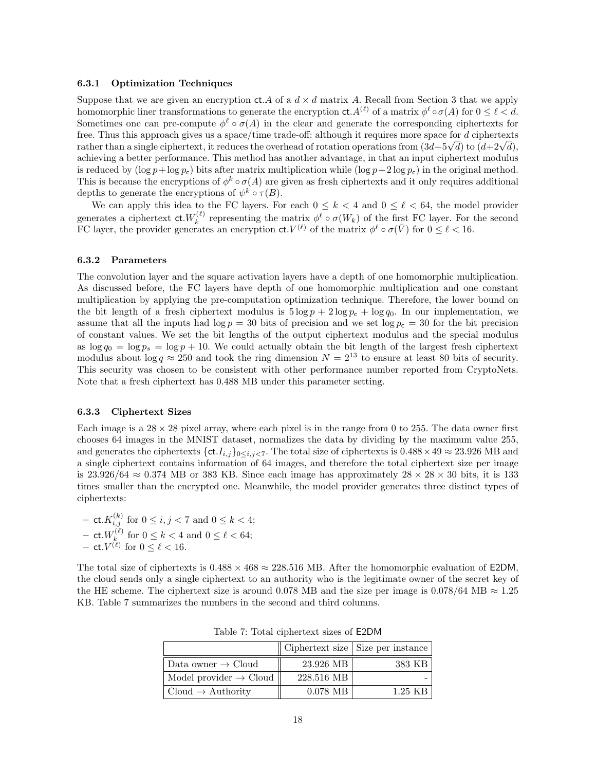#### 6.3.1 Optimization Techniques

Suppose that we are given an encryption ct. A of a  $d \times d$  matrix A. Recall from Section 3 that we apply homomorphic liner transformations to generate the encryption  $ct. A^{(\ell)}$  of a matrix  $\phi^{\ell} \circ \sigma(A)$  for  $0 \leq \ell < d$ . Sometimes one can pre-compute  $\phi^{\ell} \circ \sigma(A)$  in the clear and generate the corresponding ciphertexts for free. Thus this approach gives us a space/time trade-off: although it requires more space for d ciphertexts rree. I hus this approach gives us a space/time trade-off: although it requires more space for *a* ciphertexts<br>rather than a single ciphertext, it reduces the overhead of rotation operations from  $(3d+5\sqrt{d})$  to  $(d+2\sqrt{d})$ achieving a better performance. This method has another advantage, in that an input ciphertext modulus is reduced by  $(\log p + \log p_c)$  bits after matrix multiplication while  $(\log p + 2 \log p_c)$  in the original method. This is because the encryptions of  $\phi^k \circ \sigma(A)$  are given as fresh ciphertexts and it only requires additional depths to generate the encryptions of  $\psi^k \circ \tau(B)$ .

We can apply this idea to the FC layers. For each  $0 \le k < 4$  and  $0 \le \ell < 64$ , the model provider generates a ciphertext  $\mathsf{ct.}W_k^{(\ell)}$  representing the matrix  $\phi^\ell \circ \sigma(W_k)$  of the first FC layer. For the second FC layer, the provider generates an encryption  $\mathsf{ct.}V^{(\ell)}$  of the matrix  $\phi^\ell \circ \sigma(\bar{V})$  for  $0 \leq \ell < 16$ .

#### 6.3.2 Parameters

The convolution layer and the square activation layers have a depth of one homomorphic multiplication. As discussed before, the FC layers have depth of one homomorphic multiplication and one constant multiplication by applying the pre-computation optimization technique. Therefore, the lower bound on the bit length of a fresh ciphertext modulus is  $5 \log p + 2 \log p_c + \log q_0$ . In our implementation, we assume that all the inputs had  $\log p = 30$  bits of precision and we set  $\log p_c = 30$  for the bit precision of constant values. We set the bit lengths of the output ciphertext modulus and the special modulus as  $\log q_0 = \log p_s = \log p + 10$ . We could actually obtain the bit length of the largest fresh ciphertext modulus about  $\log q \approx 250$  and took the ring dimension  $N = 2^{13}$  to ensure at least 80 bits of security. This security was chosen to be consistent with other performance number reported from CryptoNets. Note that a fresh ciphertext has 0.488 MB under this parameter setting.

#### 6.3.3 Ciphertext Sizes

Each image is a  $28 \times 28$  pixel array, where each pixel is in the range from 0 to 255. The data owner first chooses 64 images in the MNIST dataset, normalizes the data by dividing by the maximum value 255, and generates the ciphertexts { $\text{ct.}I_{i,j}\text{}_0\leq i,j\leq 7$ . The total size of ciphertexts is  $0.488\times 49\approx 23.926$  MB and a single ciphertext contains information of 64 images, and therefore the total ciphertext size per image is 23.926/64  $\approx 0.374$  MB or 383 KB. Since each image has approximately  $28 \times 28 \times 30$  bits, it is 133 times smaller than the encrypted one. Meanwhile, the model provider generates three distinct types of ciphertexts:

- ct. 
$$
K_{i,j}^{(k)}
$$
 for  $0 \le i, j < 7$  and  $0 \le k < 4$ ;  
\n- ct.  $W_k^{(\ell)}$  for  $0 \le k < 4$  and  $0 \le \ell < 64$ ;  
\n- ct.  $V^{(\ell)}$  for  $0 \le \ell < 16$ .

The total size of ciphertexts is  $0.488 \times 468 \approx 228.516$  MB. After the homomorphic evaluation of E2DM, the cloud sends only a single ciphertext to an authority who is the legitimate owner of the secret key of the HE scheme. The ciphertext size is around 0.078 MB and the size per image is 0.078/64 MB  $\approx 1.25$ KB. Table 7 summarizes the numbers in the second and third columns.

|                                    |            | Ciphertext size Size per instance |
|------------------------------------|------------|-----------------------------------|
| Data owner $\rightarrow$ Cloud     | 23.926 MB  | 383 KB                            |
| Model provider $\rightarrow$ Cloud | 228.516 MB |                                   |
| Cloud $\rightarrow$ Authority      | $0.078$ MB | $1.25$ KB                         |

Table 7: Total ciphertext sizes of E2DM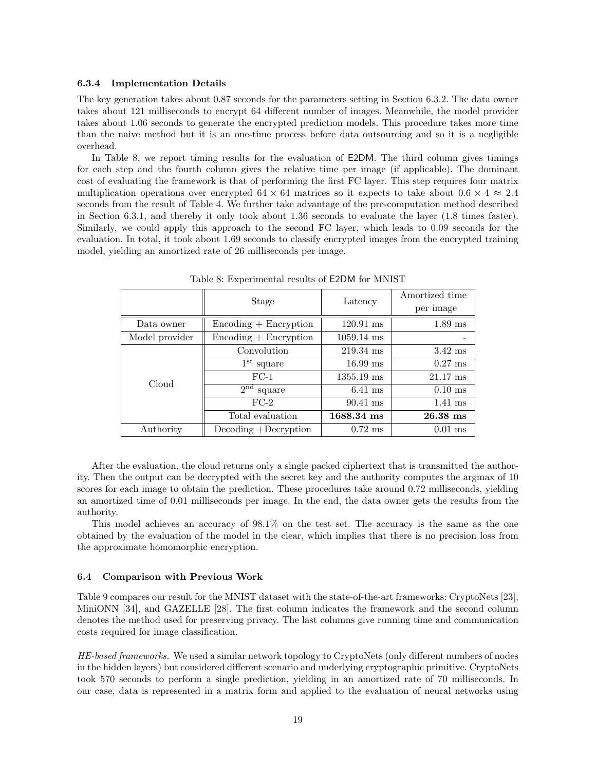#### 6.3.4 Implementation Details

The key generation takes about 0.87 seconds for the parameters setting in Section 6.3.2. The data owner takes about 121 milliseconds to encrypt 64 different number of images. Meanwhile, the model provider takes about 1.06 seconds to generate the encrypted prediction models. This procedure takes more time than the naive method but it is an one-time process before data outsourcing and so it is a negligible overhead.

In Table 8, we report timing results for the evaluation of E2DM. The third column gives timings for each step and the fourth column gives the relative time per image (if applicable). The dominant cost of evaluating the framework is that of performing the first FC layer. This step requires four matrix multiplication operations over encrypted  $64 \times 64$  matrices so it expects to take about  $0.6 \times 4 \approx 2.4$ seconds from the result of Table 4. We further take advantage of the pre-computation method described in Section 6.3.1, and thereby it only took about 1.36 seconds to evaluate the layer (1.8 times faster). Similarly, we could apply this approach to the second FC layer, which leads to 0.09 seconds for the evaluation. In total, it took about 1.69 seconds to classify encrypted images from the encrypted training model, yielding an amortized rate of 26 milliseconds per image.

|                | Stage                                 | Latency              | Amortized time     |
|----------------|---------------------------------------|----------------------|--------------------|
|                |                                       |                      | per image          |
| Data owner     | $\rm{Encoding} + \rm{Encryption}$     | $120.91$ ms          | $1.89$ ms          |
| Model provider | $\text{Encoding} + \text{Encryption}$ | $1059.14 \text{ ms}$ |                    |
|                | Convolution                           | $219.34 \text{ ms}$  | $3.42$ ms          |
|                | $1st$ square                          | $16.99$ ms           | $0.27$ ms          |
| Cloud          | $FC-1$                                | $1355.19$ ms         | $21.17 \text{ ms}$ |
|                | $2^{\text{nd}}$<br>square             | $6.41$ ms            | $0.10$ ms          |
|                | $FC-2$                                | $90.41$ ms           | $1.41$ ms          |
|                | Total evaluation                      | 1688.34 ms           | $26.38$ ms         |
| Authority      | Decoding +Decryption                  | $0.72$ ms            | $0.01$ ms          |

Table 8: Experimental results of E2DM for MNIST

After the evaluation, the cloud returns only a single packed ciphertext that is transmitted the authority. Then the output can be decrypted with the secret key and the authority computes the argmax of 10 scores for each image to obtain the prediction. These procedures take around 0.72 milliseconds, yielding an amortized time of 0.01 milliseconds per image. In the end, the data owner gets the results from the authority.

This model achieves an accuracy of 98.1% on the test set. The accuracy is the same as the one obtained by the evaluation of the model in the clear, which implies that there is no precision loss from the approximate homomorphic encryption.

#### 6.4 Comparison with Previous Work

Table 9 compares our result for the MNIST dataset with the state-of-the-art frameworks: CryptoNets [23], MiniONN [34], and GAZELLE [28]. The first column indicates the framework and the second column denotes the method used for preserving privacy. The last columns give running time and communication costs required for image classification.

HE-based frameworks. We used a similar network topology to CryptoNets (only different numbers of nodes in the hidden layers) but considered different scenario and underlying cryptographic primitive. CryptoNets took 570 seconds to perform a single prediction, yielding in an amortized rate of 70 milliseconds. In our case, data is represented in a matrix form and applied to the evaluation of neural networks using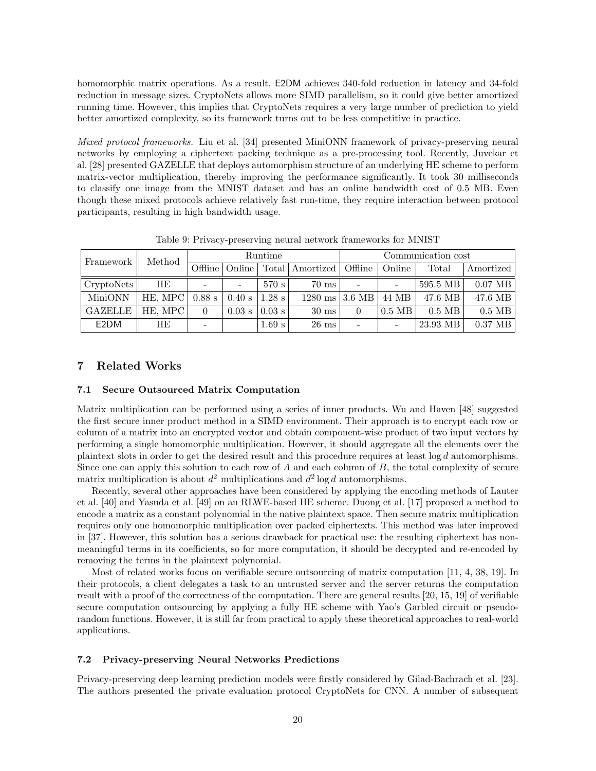homomorphic matrix operations. As a result, E2DM achieves 340-fold reduction in latency and 34-fold reduction in message sizes. CryptoNets allows more SIMD parallelism, so it could give better amortized running time. However, this implies that CryptoNets requires a very large number of prediction to yield better amortized complexity, so its framework turns out to be less competitive in practice.

Mixed protocol frameworks. Liu et al. [34] presented MiniONN framework of privacy-preserving neural networks by employing a ciphertext packing technique as a pre-processing tool. Recently, Juvekar et al. [28] presented GAZELLE that deploys automorphism structure of an underlying HE scheme to perform matrix-vector multiplication, thereby improving the performance significantly. It took 30 milliseconds to classify one image from the MNIST dataset and has an online bandwidth cost of 0.5 MB. Even though these mixed protocols achieve relatively fast run-time, they require interaction between protocol participants, resulting in high bandwidth usage.

| Method<br>Framework |         | Runtime                  |          |                   | Communication cost |                        |          |           |           |
|---------------------|---------|--------------------------|----------|-------------------|--------------------|------------------------|----------|-----------|-----------|
|                     | Offline | Online                   |          | Total   Amortized | Offline            | Online                 | Total    | Amortized |           |
| CryptoNets          | HЕ      | $\overline{\phantom{a}}$ | -        | 570 s             | $70 \text{ ms}$    |                        |          | 595.5 MB  | $0.07$ MB |
| MiniONN             | HE, MPC | $0.88$ s                 | 0.40 s   | $1.28$ s          | $1280$ ms          | $\vert$ 3.6 MB $\vert$ | 44 MB    | 47.6 MB   | $47.6$ MB |
| <b>GAZELLE</b>      | HE. MPC |                          | $0.03$ s | $0.03$ s          | $30 \text{ ms}$    |                        | $0.5$ MB | $0.5$ MB  | $0.5$ MB  |
| E <sub>2</sub> DM   | HЕ      | -                        |          | 1.69 s            | $26 \text{ ms}$    |                        |          | 23.93 MB  | $0.37$ MB |

Table 9: Privacy-preserving neural network frameworks for MNIST

# 7 Related Works

#### 7.1 Secure Outsourced Matrix Computation

Matrix multiplication can be performed using a series of inner products. Wu and Haven [48] suggested the first secure inner product method in a SIMD environment. Their approach is to encrypt each row or column of a matrix into an encrypted vector and obtain component-wise product of two input vectors by performing a single homomorphic multiplication. However, it should aggregate all the elements over the plaintext slots in order to get the desired result and this procedure requires at least log d automorphisms. Since one can apply this solution to each row of A and each column of B, the total complexity of secure matrix multiplication is about  $d^2$  multiplications and  $d^2$  log d automorphisms.

Recently, several other approaches have been considered by applying the encoding methods of Lauter et al. [40] and Yasuda et al. [49] on an RLWE-based HE scheme. Duong et al. [17] proposed a method to encode a matrix as a constant polynomial in the native plaintext space. Then secure matrix multiplication requires only one homomorphic multiplication over packed ciphertexts. This method was later improved in [37]. However, this solution has a serious drawback for practical use: the resulting ciphertext has nonmeaningful terms in its coefficients, so for more computation, it should be decrypted and re-encoded by removing the terms in the plaintext polynomial.

Most of related works focus on verifiable secure outsourcing of matrix computation [11, 4, 38, 19]. In their protocols, a client delegates a task to an untrusted server and the server returns the computation result with a proof of the correctness of the computation. There are general results [20, 15, 19] of verifiable secure computation outsourcing by applying a fully HE scheme with Yao's Garbled circuit or pseudorandom functions. However, it is still far from practical to apply these theoretical approaches to real-world applications.

### 7.2 Privacy-preserving Neural Networks Predictions

Privacy-preserving deep learning prediction models were firstly considered by Gilad-Bachrach et al. [23]. The authors presented the private evaluation protocol CryptoNets for CNN. A number of subsequent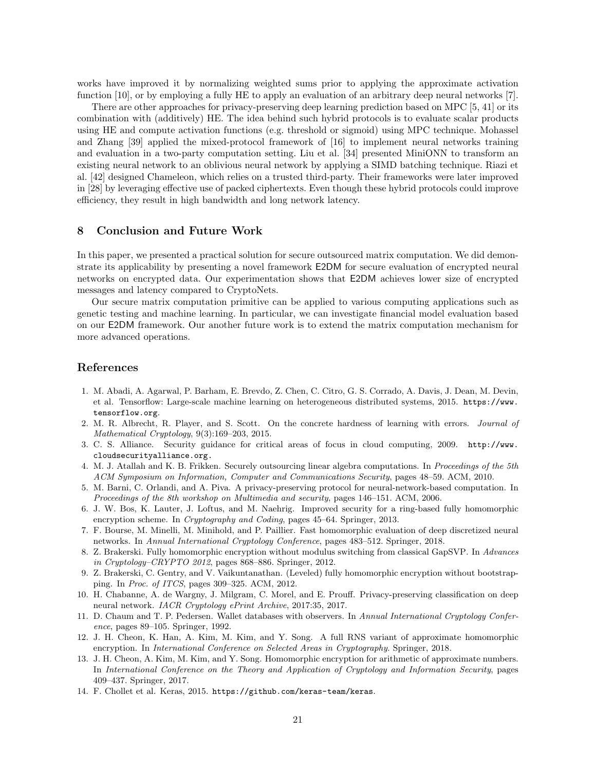works have improved it by normalizing weighted sums prior to applying the approximate activation function [10], or by employing a fully HE to apply an evaluation of an arbitrary deep neural networks [7].

There are other approaches for privacy-preserving deep learning prediction based on MPC [5, 41] or its combination with (additively) HE. The idea behind such hybrid protocols is to evaluate scalar products using HE and compute activation functions (e.g. threshold or sigmoid) using MPC technique. Mohassel and Zhang [39] applied the mixed-protocol framework of [16] to implement neural networks training and evaluation in a two-party computation setting. Liu et al. [34] presented MiniONN to transform an existing neural network to an oblivious neural network by applying a SIMD batching technique. Riazi et al. [42] designed Chameleon, which relies on a trusted third-party. Their frameworks were later improved in [28] by leveraging effective use of packed ciphertexts. Even though these hybrid protocols could improve efficiency, they result in high bandwidth and long network latency.

# 8 Conclusion and Future Work

In this paper, we presented a practical solution for secure outsourced matrix computation. We did demonstrate its applicability by presenting a novel framework E2DM for secure evaluation of encrypted neural networks on encrypted data. Our experimentation shows that E2DM achieves lower size of encrypted messages and latency compared to CryptoNets.

Our secure matrix computation primitive can be applied to various computing applications such as genetic testing and machine learning. In particular, we can investigate financial model evaluation based on our E2DM framework. Our another future work is to extend the matrix computation mechanism for more advanced operations.

# References

- 1. M. Abadi, A. Agarwal, P. Barham, E. Brevdo, Z. Chen, C. Citro, G. S. Corrado, A. Davis, J. Dean, M. Devin, et al. Tensorflow: Large-scale machine learning on heterogeneous distributed systems, 2015. https://www. tensorflow.org.
- 2. M. R. Albrecht, R. Player, and S. Scott. On the concrete hardness of learning with errors. Journal of Mathematical Cryptology, 9(3):169–203, 2015.
- 3. C. S. Alliance. Security guidance for critical areas of focus in cloud computing, 2009. http://www. cloudsecurityalliance.org.
- 4. M. J. Atallah and K. B. Frikken. Securely outsourcing linear algebra computations. In Proceedings of the 5th ACM Symposium on Information, Computer and Communications Security, pages 48–59. ACM, 2010.
- 5. M. Barni, C. Orlandi, and A. Piva. A privacy-preserving protocol for neural-network-based computation. In Proceedings of the 8th workshop on Multimedia and security, pages 146–151. ACM, 2006.
- 6. J. W. Bos, K. Lauter, J. Loftus, and M. Naehrig. Improved security for a ring-based fully homomorphic encryption scheme. In Cryptography and Coding, pages 45-64. Springer, 2013.
- 7. F. Bourse, M. Minelli, M. Minihold, and P. Paillier. Fast homomorphic evaluation of deep discretized neural networks. In Annual International Cryptology Conference, pages 483–512. Springer, 2018.
- 8. Z. Brakerski. Fully homomorphic encryption without modulus switching from classical GapSVP. In Advances in Cryptology–CRYPTO 2012, pages 868–886. Springer, 2012.
- 9. Z. Brakerski, C. Gentry, and V. Vaikuntanathan. (Leveled) fully homomorphic encryption without bootstrapping. In Proc. of ITCS, pages 309–325. ACM, 2012.
- 10. H. Chabanne, A. de Wargny, J. Milgram, C. Morel, and E. Prouff. Privacy-preserving classification on deep neural network. IACR Cryptology ePrint Archive, 2017:35, 2017.
- 11. D. Chaum and T. P. Pedersen. Wallet databases with observers. In Annual International Cryptology Conference, pages 89–105. Springer, 1992.
- 12. J. H. Cheon, K. Han, A. Kim, M. Kim, and Y. Song. A full RNS variant of approximate homomorphic encryption. In International Conference on Selected Areas in Cryptography. Springer, 2018.
- 13. J. H. Cheon, A. Kim, M. Kim, and Y. Song. Homomorphic encryption for arithmetic of approximate numbers. In International Conference on the Theory and Application of Cryptology and Information Security, pages 409–437. Springer, 2017.
- 14. F. Chollet et al. Keras, 2015. https://github.com/keras-team/keras.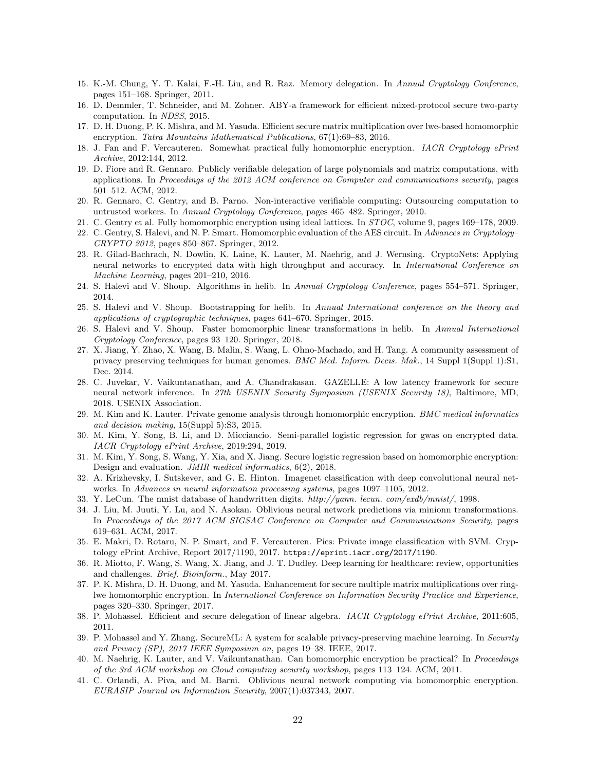- 15. K.-M. Chung, Y. T. Kalai, F.-H. Liu, and R. Raz. Memory delegation. In Annual Cryptology Conference, pages 151–168. Springer, 2011.
- 16. D. Demmler, T. Schneider, and M. Zohner. ABY-a framework for efficient mixed-protocol secure two-party computation. In NDSS, 2015.
- 17. D. H. Duong, P. K. Mishra, and M. Yasuda. Efficient secure matrix multiplication over lwe-based homomorphic encryption. Tatra Mountains Mathematical Publications, 67(1):69-83, 2016.
- 18. J. Fan and F. Vercauteren. Somewhat practical fully homomorphic encryption. IACR Cryptology ePrint Archive, 2012:144, 2012.
- 19. D. Fiore and R. Gennaro. Publicly verifiable delegation of large polynomials and matrix computations, with applications. In Proceedings of the 2012 ACM conference on Computer and communications security, pages 501–512. ACM, 2012.
- 20. R. Gennaro, C. Gentry, and B. Parno. Non-interactive verifiable computing: Outsourcing computation to untrusted workers. In Annual Cryptology Conference, pages 465–482. Springer, 2010.
- 21. C. Gentry et al. Fully homomorphic encryption using ideal lattices. In STOC, volume 9, pages 169–178, 2009.
- 22. C. Gentry, S. Halevi, and N. P. Smart. Homomorphic evaluation of the AES circuit. In Advances in Cryptology– CRYPTO 2012, pages 850–867. Springer, 2012.
- 23. R. Gilad-Bachrach, N. Dowlin, K. Laine, K. Lauter, M. Naehrig, and J. Wernsing. CryptoNets: Applying neural networks to encrypted data with high throughput and accuracy. In *International Conference on* Machine Learning, pages 201–210, 2016.
- 24. S. Halevi and V. Shoup. Algorithms in helib. In Annual Cryptology Conference, pages 554–571. Springer, 2014.
- 25. S. Halevi and V. Shoup. Bootstrapping for helib. In Annual International conference on the theory and applications of cryptographic techniques, pages 641–670. Springer, 2015.
- 26. S. Halevi and V. Shoup. Faster homomorphic linear transformations in helib. In Annual International Cryptology Conference, pages 93–120. Springer, 2018.
- 27. X. Jiang, Y. Zhao, X. Wang, B. Malin, S. Wang, L. Ohno-Machado, and H. Tang. A community assessment of privacy preserving techniques for human genomes. *BMC Med. Inform. Decis. Mak.*, 14 Suppl 1(Suppl 1):S1, Dec. 2014.
- 28. C. Juvekar, V. Vaikuntanathan, and A. Chandrakasan. GAZELLE: A low latency framework for secure neural network inference. In 27th USENIX Security Symposium (USENIX Security 18), Baltimore, MD, 2018. USENIX Association.
- 29. M. Kim and K. Lauter. Private genome analysis through homomorphic encryption. *BMC medical informatics* and decision making, 15(Suppl 5):S3, 2015.
- 30. M. Kim, Y. Song, B. Li, and D. Micciancio. Semi-parallel logistic regression for gwas on encrypted data. IACR Cryptology ePrint Archive, 2019:294, 2019.
- 31. M. Kim, Y. Song, S. Wang, Y. Xia, and X. Jiang. Secure logistic regression based on homomorphic encryption: Design and evaluation. JMIR medical informatics, 6(2), 2018.
- 32. A. Krizhevsky, I. Sutskever, and G. E. Hinton. Imagenet classification with deep convolutional neural networks. In Advances in neural information processing systems, pages 1097-1105, 2012.
- 33. Y. LeCun. The mnist database of handwritten digits. http://yann. lecun. com/exdb/mnist/, 1998.
- 34. J. Liu, M. Juuti, Y. Lu, and N. Asokan. Oblivious neural network predictions via minionn transformations. In Proceedings of the 2017 ACM SIGSAC Conference on Computer and Communications Security, pages 619–631. ACM, 2017.
- 35. E. Makri, D. Rotaru, N. P. Smart, and F. Vercauteren. Pics: Private image classification with SVM. Cryptology ePrint Archive, Report 2017/1190, 2017. https://eprint.iacr.org/2017/1190.
- 36. R. Miotto, F. Wang, S. Wang, X. Jiang, and J. T. Dudley. Deep learning for healthcare: review, opportunities and challenges. Brief. Bioinform., May 2017.
- 37. P. K. Mishra, D. H. Duong, and M. Yasuda. Enhancement for secure multiple matrix multiplications over ringlwe homomorphic encryption. In International Conference on Information Security Practice and Experience, pages 320–330. Springer, 2017.
- 38. P. Mohassel. Efficient and secure delegation of linear algebra. IACR Cryptology ePrint Archive, 2011:605, 2011.
- 39. P. Mohassel and Y. Zhang. SecureML: A system for scalable privacy-preserving machine learning. In Security and Privacy (SP), 2017 IEEE Symposium on, pages 19–38. IEEE, 2017.
- 40. M. Naehrig, K. Lauter, and V. Vaikuntanathan. Can homomorphic encryption be practical? In Proceedings of the 3rd ACM workshop on Cloud computing security workshop, pages 113–124. ACM, 2011.
- 41. C. Orlandi, A. Piva, and M. Barni. Oblivious neural network computing via homomorphic encryption. EURASIP Journal on Information Security, 2007(1):037343, 2007.